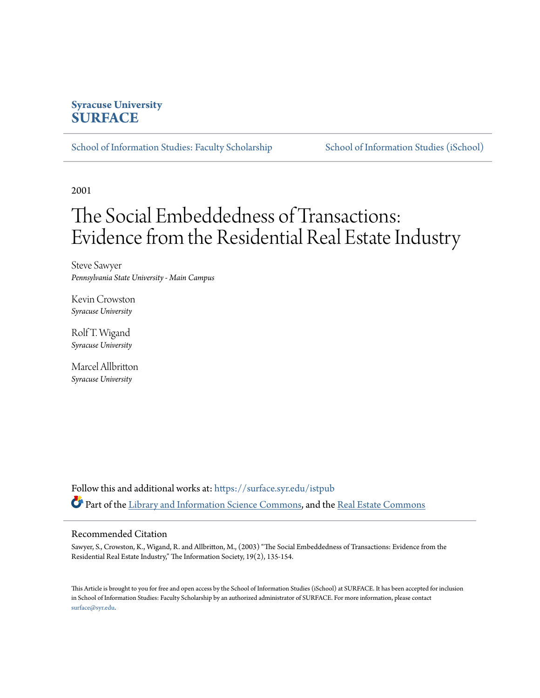# **Syracuse University [SURFACE](https://surface.syr.edu?utm_source=surface.syr.edu%2Fistpub%2F96&utm_medium=PDF&utm_campaign=PDFCoverPages)**

[School of Information Studies: Faculty Scholarship](https://surface.syr.edu/istpub?utm_source=surface.syr.edu%2Fistpub%2F96&utm_medium=PDF&utm_campaign=PDFCoverPages) [School of Information Studies \(iSchool\)](https://surface.syr.edu/ischool?utm_source=surface.syr.edu%2Fistpub%2F96&utm_medium=PDF&utm_campaign=PDFCoverPages)

2001

# The Social Embeddedness of Transactions: Evidence from the Residential Real Estate Industry

Steve Sawyer *Pennsylvania State University - Main Campus*

Kevin Crowston *Syracuse University*

Rolf T. Wigand *Syracuse University*

Marcel Allbritton *Syracuse University*

Follow this and additional works at: [https://surface.syr.edu/istpub](https://surface.syr.edu/istpub?utm_source=surface.syr.edu%2Fistpub%2F96&utm_medium=PDF&utm_campaign=PDFCoverPages) Part of the [Library and Information Science Commons,](http://network.bepress.com/hgg/discipline/1018?utm_source=surface.syr.edu%2Fistpub%2F96&utm_medium=PDF&utm_campaign=PDFCoverPages) and the [Real Estate Commons](http://network.bepress.com/hgg/discipline/641?utm_source=surface.syr.edu%2Fistpub%2F96&utm_medium=PDF&utm_campaign=PDFCoverPages)

#### Recommended Citation

Sawyer, S., Crowston, K., Wigand, R. and Allbritton, M., (2003) "The Social Embeddedness of Transactions: Evidence from the Residential Real Estate Industry," The Information Society, 19(2), 135-154.

This Article is brought to you for free and open access by the School of Information Studies (iSchool) at SURFACE. It has been accepted for inclusion in School of Information Studies: Faculty Scholarship by an authorized administrator of SURFACE. For more information, please contact [surface@syr.edu](mailto:surface@syr.edu).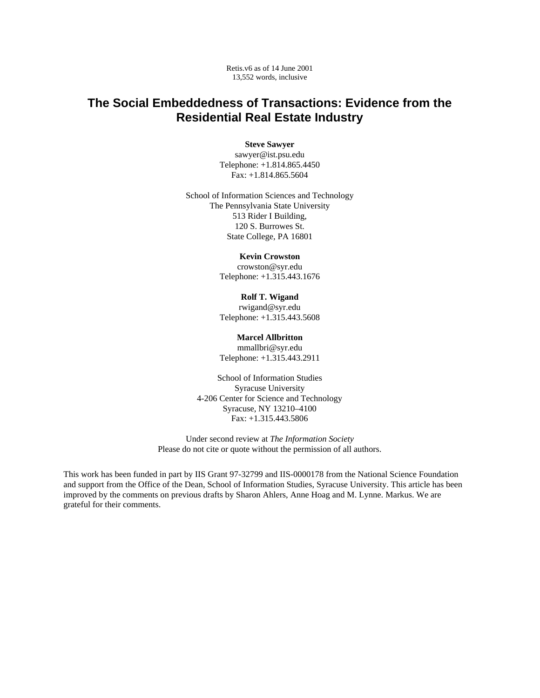Retis.v6 as of 14 June 2001 13,552 words, inclusive

# **The Social Embeddedness of Transactions: Evidence from the Residential Real Estate Industry**

**Steve Sawyer**

[sawyer@ist.psu.edu](mailto:sawyer@ist.psu.edu) Telephone: +1.814.865.4450 Fax: +1.814.865.5604

School of Information Sciences and Technology The Pennsylvania State University 513 Rider I Building, 120 S. Burrowes St. State College, PA 16801

> **Kevin Crowston** [crowston@syr.edu](mailto:crowston@syr.edu) Telephone: +1.315.443.1676

> **Rolf T. Wigand** [rwigand@syr.edu](mailto:rwigand@syr.edu) Telephone: +1.315.443.5608

**Marcel Allbritton** [mmallbri@syr.edu](mailto:mmallbri@syr.edu) Telephone: +1.315.443.2911

School of Information Studies Syracuse University 4-206 Center for Science and Technology Syracuse, NY 13210–4100 Fax: +1.315.443.5806

Under second review at *The Information Society* Please do not cite or quote without the permission of all authors.

This work has been funded in part by IIS Grant 97-32799 and IIS-0000178 from the National Science Foundation and support from the Office of the Dean, School of Information Studies, Syracuse University. This article has been improved by the comments on previous drafts by Sharon Ahlers, Anne Hoag and M. Lynne. Markus. We are grateful for their comments.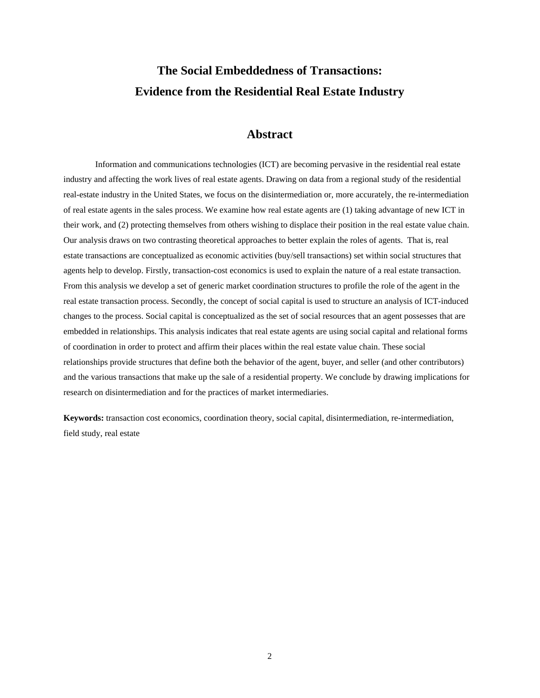# **The Social Embeddedness of Transactions: Evidence from the Residential Real Estate Industry**

### **Abstract**

Information and communications technologies (ICT) are becoming pervasive in the residential real estate industry and affecting the work lives of real estate agents. Drawing on data from a regional study of the residential real-estate industry in the United States, we focus on the disintermediation or, more accurately, the re-intermediation of real estate agents in the sales process. We examine how real estate agents are (1) taking advantage of new ICT in their work, and (2) protecting themselves from others wishing to displace their position in the real estate value chain. Our analysis draws on two contrasting theoretical approaches to better explain the roles of agents. That is, real estate transactions are conceptualized as economic activities (buy/sell transactions) set within social structures that agents help to develop. Firstly, transaction-cost economics is used to explain the nature of a real estate transaction. From this analysis we develop a set of generic market coordination structures to profile the role of the agent in the real estate transaction process. Secondly, the concept of social capital is used to structure an analysis of ICT-induced changes to the process. Social capital is conceptualized as the set of social resources that an agent possesses that are embedded in relationships. This analysis indicates that real estate agents are using social capital and relational forms of coordination in order to protect and affirm their places within the real estate value chain. These social relationships provide structures that define both the behavior of the agent, buyer, and seller (and other contributors) and the various transactions that make up the sale of a residential property. We conclude by drawing implications for research on disintermediation and for the practices of market intermediaries.

**Keywords:** transaction cost economics, coordination theory, social capital, disintermediation, re-intermediation, field study, real estate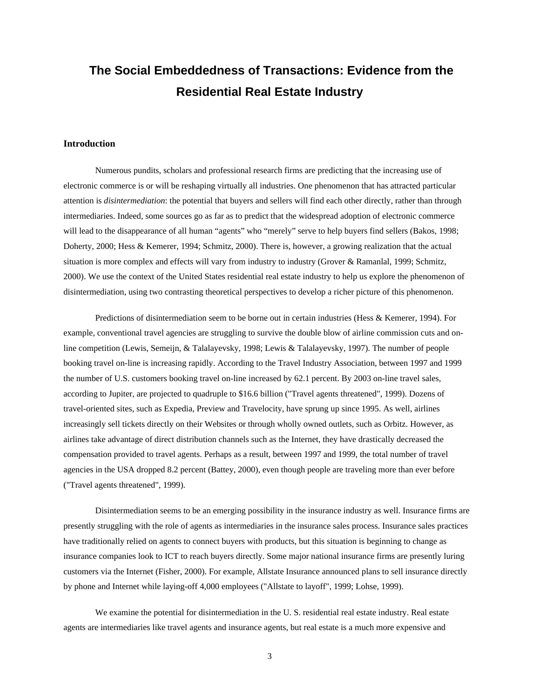# **The Social Embeddedness of Transactions: Evidence from the Residential Real Estate Industry**

#### **Introduction**

Numerous pundits, scholars and professional research firms are predicting that the increasing use of electronic commerce is or will be reshaping virtually all industries. One phenomenon that has attracted particular attention is *disintermediation*: the potential that buyers and sellers will find each other directly, rather than through intermediaries. Indeed, some sources go as far as to predict that the widespread adoption of electronic commerce will lead to the disappearance of all human "agents" who "merely" serve to help buyers find sellers (Bakos, 1998; Doherty, 2000; Hess & Kemerer, 1994; Schmitz, 2000). There is, however, a growing realization that the actual situation is more complex and effects will vary from industry to industry (Grover & Ramanlal, 1999; Schmitz, 2000). We use the context of the United States residential real estate industry to help us explore the phenomenon of disintermediation, using two contrasting theoretical perspectives to develop a richer picture of this phenomenon.

Predictions of disintermediation seem to be borne out in certain industries (Hess & Kemerer, 1994). For example, conventional travel agencies are struggling to survive the double blow of airline commission cuts and online competition (Lewis, Semeijn, & Talalayevsky, 1998; Lewis & Talalayevsky, 1997). The number of people booking travel on-line is increasing rapidly. According to the Travel Industry Association, between 1997 and 1999 the number of U.S. customers booking travel on-line increased by 62.1 percent. By 2003 on-line travel sales, according to Jupiter, are projected to quadruple to \$16.6 billion ("Travel agents threatened", 1999). Dozens of travel-oriented sites, such as Expedia, Preview and Travelocity, have sprung up since 1995. As well, airlines increasingly sell tickets directly on their Websites or through wholly owned outlets, such as Orbitz. However, as airlines take advantage of direct distribution channels such as the Internet, they have drastically decreased the compensation provided to travel agents. Perhaps as a result, between 1997 and 1999, the total number of travel agencies in the USA dropped 8.2 percent (Battey, 2000), even though people are traveling more than ever before ("Travel agents threatened", 1999).

Disintermediation seems to be an emerging possibility in the insurance industry as well. Insurance firms are presently struggling with the role of agents as intermediaries in the insurance sales process. Insurance sales practices have traditionally relied on agents to connect buyers with products, but this situation is beginning to change as insurance companies look to ICT to reach buyers directly. Some major national insurance firms are presently luring customers via the Internet (Fisher, 2000). For example, Allstate Insurance announced plans to sell insurance directly by phone and Internet while laying-off 4,000 employees ("Allstate to layoff", 1999; Lohse, 1999).

We examine the potential for disintermediation in the U. S. residential real estate industry. Real estate agents are intermediaries like travel agents and insurance agents, but real estate is a much more expensive and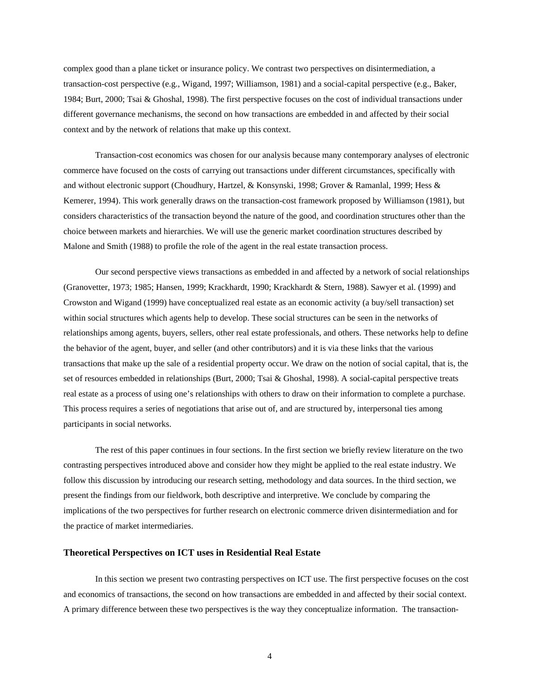complex good than a plane ticket or insurance policy. We contrast two perspectives on disintermediation, a transaction-cost perspective (e.g., Wigand, 1997; Williamson, 1981) and a social-capital perspective (e.g., Baker, 1984; Burt, 2000; Tsai & Ghoshal, 1998). The first perspective focuses on the cost of individual transactions under different governance mechanisms, the second on how transactions are embedded in and affected by their social context and by the network of relations that make up this context.

Transaction-cost economics was chosen for our analysis because many contemporary analyses of electronic commerce have focused on the costs of carrying out transactions under different circumstances, specifically with and without electronic support (Choudhury, Hartzel, & Konsynski, 1998; Grover & Ramanlal, 1999; Hess & Kemerer, 1994). This work generally draws on the transaction-cost framework proposed by Williamson (1981), but considers characteristics of the transaction beyond the nature of the good, and coordination structures other than the choice between markets and hierarchies. We will use the generic market coordination structures described by Malone and Smith (1988) to profile the role of the agent in the real estate transaction process.

Our second perspective views transactions as embedded in and affected by a network of social relationships (Granovetter, 1973; 1985; Hansen, 1999; Krackhardt, 1990; Krackhardt & Stern, 1988). Sawyer et al. (1999) and Crowston and Wigand (1999) have conceptualized real estate as an economic activity (a buy/sell transaction) set within social structures which agents help to develop. These social structures can be seen in the networks of relationships among agents, buyers, sellers, other real estate professionals, and others. These networks help to define the behavior of the agent, buyer, and seller (and other contributors) and it is via these links that the various transactions that make up the sale of a residential property occur. We draw on the notion of social capital, that is, the set of resources embedded in relationships (Burt, 2000; Tsai & Ghoshal, 1998). A social-capital perspective treats real estate as a process of using one's relationships with others to draw on their information to complete a purchase. This process requires a series of negotiations that arise out of, and are structured by, interpersonal ties among participants in social networks.

The rest of this paper continues in four sections. In the first section we briefly review literature on the two contrasting perspectives introduced above and consider how they might be applied to the real estate industry. We follow this discussion by introducing our research setting, methodology and data sources. In the third section, we present the findings from our fieldwork, both descriptive and interpretive. We conclude by comparing the implications of the two perspectives for further research on electronic commerce driven disintermediation and for the practice of market intermediaries.

#### **Theoretical Perspectives on ICT uses in Residential Real Estate**

In this section we present two contrasting perspectives on ICT use. The first perspective focuses on the cost and economics of transactions, the second on how transactions are embedded in and affected by their social context. A primary difference between these two perspectives is the way they conceptualize information. The transaction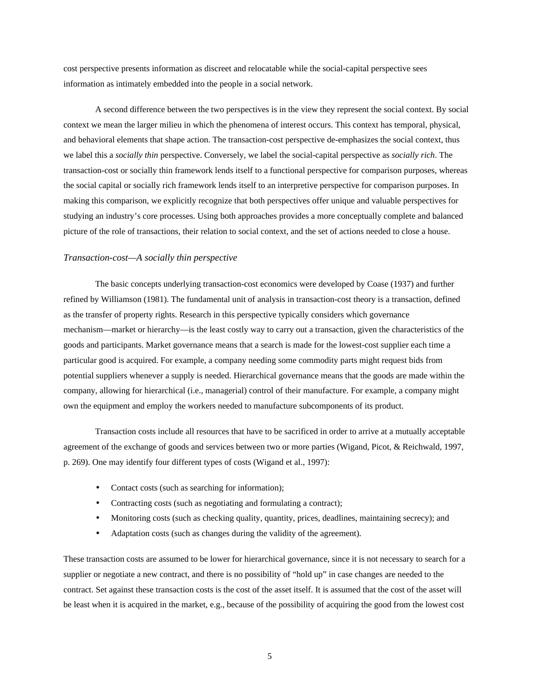cost perspective presents information as discreet and relocatable while the social-capital perspective sees information as intimately embedded into the people in a social network.

A second difference between the two perspectives is in the view they represent the social context. By social context we mean the larger milieu in which the phenomena of interest occurs. This context has temporal, physical, and behavioral elements that shape action. The transaction-cost perspective de-emphasizes the social context, thus we label this a *socially thin* perspective. Conversely, we label the social-capital perspective as *socially rich*. The transaction-cost or socially thin framework lends itself to a functional perspective for comparison purposes, whereas the social capital or socially rich framework lends itself to an interpretive perspective for comparison purposes. In making this comparison, we explicitly recognize that both perspectives offer unique and valuable perspectives for studying an industry's core processes. Using both approaches provides a more conceptually complete and balanced picture of the role of transactions, their relation to social context, and the set of actions needed to close a house.

#### *Transaction-cost—A socially thin perspective*

The basic concepts underlying transaction-cost economics were developed by Coase (1937) and further refined by Williamson (1981). The fundamental unit of analysis in transaction-cost theory is a transaction, defined as the transfer of property rights. Research in this perspective typically considers which governance mechanism—market or hierarchy—is the least costly way to carry out a transaction, given the characteristics of the goods and participants. Market governance means that a search is made for the lowest-cost supplier each time a particular good is acquired. For example, a company needing some commodity parts might request bids from potential suppliers whenever a supply is needed. Hierarchical governance means that the goods are made within the company, allowing for hierarchical (i.e., managerial) control of their manufacture. For example, a company might own the equipment and employ the workers needed to manufacture subcomponents of its product.

Transaction costs include all resources that have to be sacrificed in order to arrive at a mutually acceptable agreement of the exchange of goods and services between two or more parties (Wigand, Picot, & Reichwald, 1997, p. 269). One may identify four different types of costs (Wigand et al., 1997):

- Contact costs (such as searching for information);
- Contracting costs (such as negotiating and formulating a contract);
- Monitoring costs (such as checking quality, quantity, prices, deadlines, maintaining secrecy); and
- Adaptation costs (such as changes during the validity of the agreement).

These transaction costs are assumed to be lower for hierarchical governance, since it is not necessary to search for a supplier or negotiate a new contract, and there is no possibility of "hold up" in case changes are needed to the contract. Set against these transaction costs is the cost of the asset itself. It is assumed that the cost of the asset will be least when it is acquired in the market, e.g., because of the possibility of acquiring the good from the lowest cost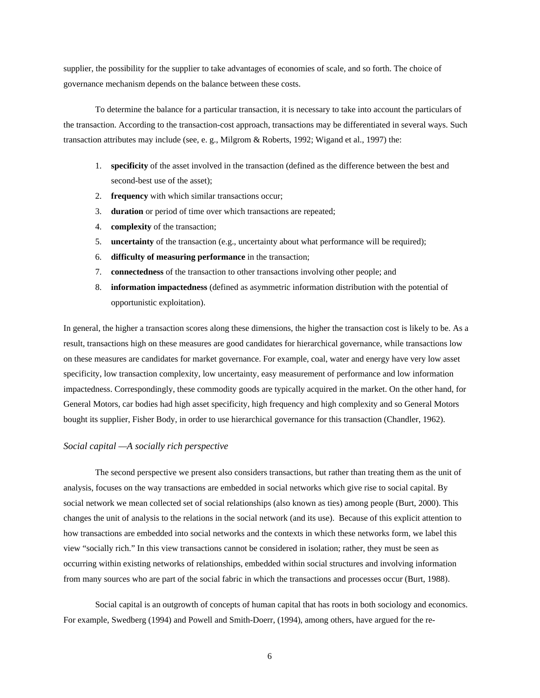supplier, the possibility for the supplier to take advantages of economies of scale, and so forth. The choice of governance mechanism depends on the balance between these costs.

To determine the balance for a particular transaction, it is necessary to take into account the particulars of the transaction. According to the transaction-cost approach, transactions may be differentiated in several ways. Such transaction attributes may include (see, e. g., Milgrom & Roberts, 1992; Wigand et al., 1997) the:

- 1. **specificity** of the asset involved in the transaction (defined as the difference between the best and second-best use of the asset);
- 2. **frequency** with which similar transactions occur;
- 3. **duration** or period of time over which transactions are repeated;
- 4. **complexity** of the transaction;
- 5. **uncertainty** of the transaction (e.g., uncertainty about what performance will be required);
- 6. **difficulty of measuring performance** in the transaction;
- 7. **connectedness** of the transaction to other transactions involving other people; and
- 8. **information impactedness** (defined as asymmetric information distribution with the potential of opportunistic exploitation).

In general, the higher a transaction scores along these dimensions, the higher the transaction cost is likely to be. As a result, transactions high on these measures are good candidates for hierarchical governance, while transactions low on these measures are candidates for market governance. For example, coal, water and energy have very low asset specificity, low transaction complexity, low uncertainty, easy measurement of performance and low information impactedness. Correspondingly, these commodity goods are typically acquired in the market. On the other hand, for General Motors, car bodies had high asset specificity, high frequency and high complexity and so General Motors bought its supplier, Fisher Body, in order to use hierarchical governance for this transaction (Chandler, 1962).

#### *Social capital —A socially rich perspective*

The second perspective we present also considers transactions, but rather than treating them as the unit of analysis, focuses on the way transactions are embedded in social networks which give rise to social capital. By social network we mean collected set of social relationships (also known as ties) among people (Burt, 2000). This changes the unit of analysis to the relations in the social network (and its use). Because of this explicit attention to how transactions are embedded into social networks and the contexts in which these networks form, we label this view "socially rich." In this view transactions cannot be considered in isolation; rather, they must be seen as occurring within existing networks of relationships, embedded within social structures and involving information from many sources who are part of the social fabric in which the transactions and processes occur (Burt, 1988).

Social capital is an outgrowth of concepts of human capital that has roots in both sociology and economics. For example, Swedberg (1994) and Powell and Smith-Doerr, (1994), among others, have argued for the re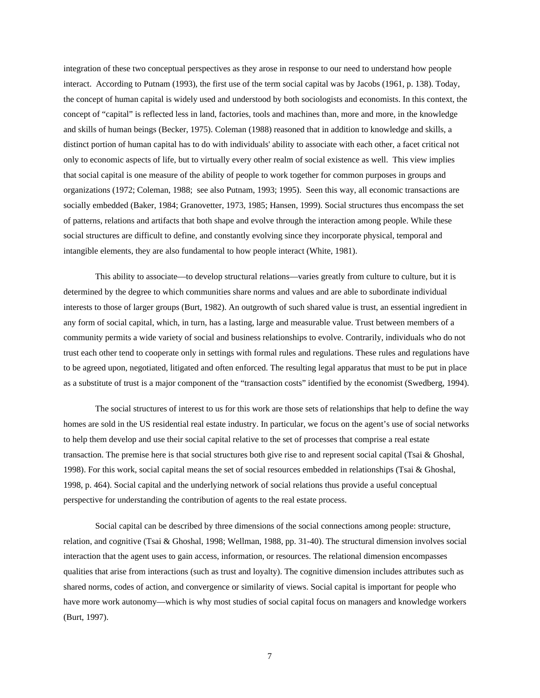integration of these two conceptual perspectives as they arose in response to our need to understand how people interact. According to Putnam (1993), the first use of the term social capital was by Jacobs (1961, p. 138). Today, the concept of human capital is widely used and understood by both sociologists and economists. In this context, the concept of "capital" is reflected less in land, factories, tools and machines than, more and more, in the knowledge and skills of human beings (Becker, 1975). Coleman (1988) reasoned that in addition to knowledge and skills, a distinct portion of human capital has to do with individuals' ability to associate with each other, a facet critical not only to economic aspects of life, but to virtually every other realm of social existence as well. This view implies that social capital is one measure of the ability of people to work together for common purposes in groups and organizations (1972; Coleman, 1988; see also Putnam, 1993; 1995). Seen this way, all economic transactions are socially embedded (Baker, 1984; Granovetter, 1973, 1985; Hansen, 1999). Social structures thus encompass the set of patterns, relations and artifacts that both shape and evolve through the interaction among people. While these social structures are difficult to define, and constantly evolving since they incorporate physical, temporal and intangible elements, they are also fundamental to how people interact (White, 1981).

This ability to associate—to develop structural relations—varies greatly from culture to culture, but it is determined by the degree to which communities share norms and values and are able to subordinate individual interests to those of larger groups (Burt, 1982). An outgrowth of such shared value is trust, an essential ingredient in any form of social capital, which, in turn, has a lasting, large and measurable value. Trust between members of a community permits a wide variety of social and business relationships to evolve. Contrarily, individuals who do not trust each other tend to cooperate only in settings with formal rules and regulations. These rules and regulations have to be agreed upon, negotiated, litigated and often enforced. The resulting legal apparatus that must to be put in place as a substitute of trust is a major component of the "transaction costs" identified by the economist (Swedberg, 1994).

The social structures of interest to us for this work are those sets of relationships that help to define the way homes are sold in the US residential real estate industry. In particular, we focus on the agent's use of social networks to help them develop and use their social capital relative to the set of processes that comprise a real estate transaction. The premise here is that social structures both give rise to and represent social capital (Tsai  $\&$  Ghoshal, 1998). For this work, social capital means the set of social resources embedded in relationships (Tsai & Ghoshal, 1998, p. 464). Social capital and the underlying network of social relations thus provide a useful conceptual perspective for understanding the contribution of agents to the real estate process.

Social capital can be described by three dimensions of the social connections among people: structure, relation, and cognitive (Tsai & Ghoshal, 1998; Wellman, 1988, pp. 31-40). The structural dimension involves social interaction that the agent uses to gain access, information, or resources. The relational dimension encompasses qualities that arise from interactions (such as trust and loyalty). The cognitive dimension includes attributes such as shared norms, codes of action, and convergence or similarity of views. Social capital is important for people who have more work autonomy—which is why most studies of social capital focus on managers and knowledge workers (Burt, 1997).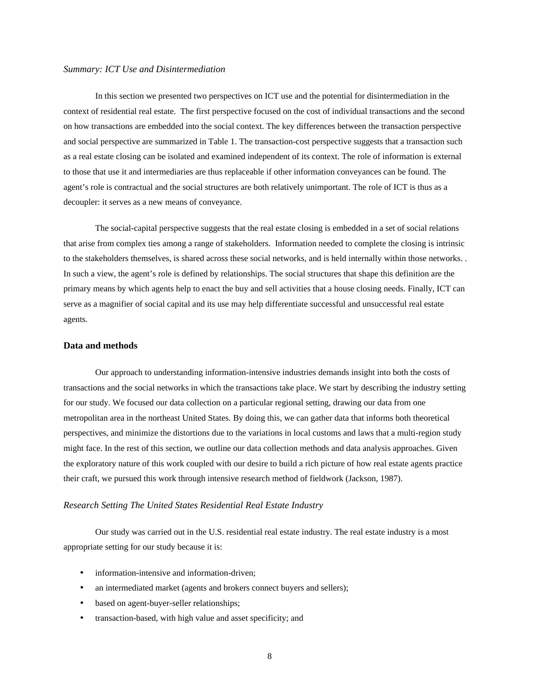#### *Summary: ICT Use and Disintermediation*

In this section we presented two perspectives on ICT use and the potential for disintermediation in the context of residential real estate. The first perspective focused on the cost of individual transactions and the second on how transactions are embedded into the social context. The key differences between the transaction perspective and social perspective are summarized in Table 1. The transaction-cost perspective suggests that a transaction such as a real estate closing can be isolated and examined independent of its context. The role of information is external to those that use it and intermediaries are thus replaceable if other information conveyances can be found. The agent's role is contractual and the social structures are both relatively unimportant. The role of ICT is thus as a decoupler: it serves as a new means of conveyance.

The social-capital perspective suggests that the real estate closing is embedded in a set of social relations that arise from complex ties among a range of stakeholders. Information needed to complete the closing is intrinsic to the stakeholders themselves, is shared across these social networks, and is held internally within those networks. . In such a view, the agent's role is defined by relationships. The social structures that shape this definition are the primary means by which agents help to enact the buy and sell activities that a house closing needs. Finally, ICT can serve as a magnifier of social capital and its use may help differentiate successful and unsuccessful real estate agents.

#### **Data and methods**

Our approach to understanding information-intensive industries demands insight into both the costs of transactions and the social networks in which the transactions take place. We start by describing the industry setting for our study. We focused our data collection on a particular regional setting, drawing our data from one metropolitan area in the northeast United States. By doing this, we can gather data that informs both theoretical perspectives, and minimize the distortions due to the variations in local customs and laws that a multi-region study might face. In the rest of this section, we outline our data collection methods and data analysis approaches. Given the exploratory nature of this work coupled with our desire to build a rich picture of how real estate agents practice their craft, we pursued this work through intensive research method of fieldwork (Jackson, 1987).

#### *Research Setting The United States Residential Real Estate Industry*

Our study was carried out in the U.S. residential real estate industry. The real estate industry is a most appropriate setting for our study because it is:

- information-intensive and information-driven;
- an intermediated market (agents and brokers connect buyers and sellers);
- based on agent-buyer-seller relationships;
- transaction-based, with high value and asset specificity; and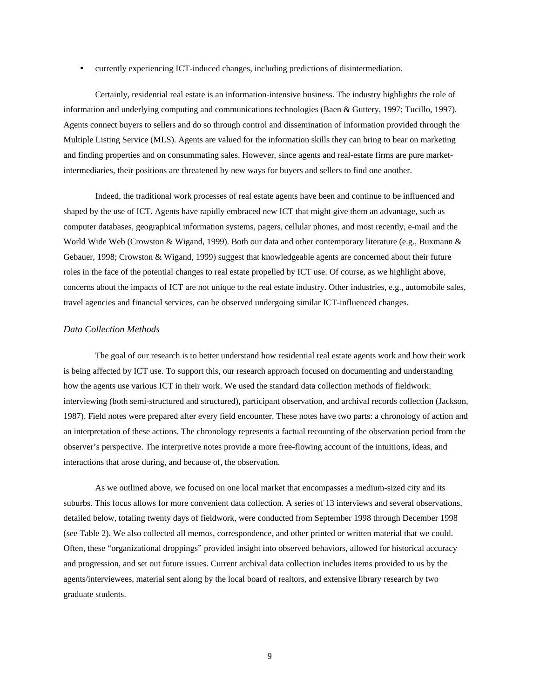• currently experiencing ICT-induced changes, including predictions of disintermediation.

Certainly, residential real estate is an information-intensive business. The industry highlights the role of information and underlying computing and communications technologies (Baen & Guttery, 1997; Tucillo, 1997). Agents connect buyers to sellers and do so through control and dissemination of information provided through the Multiple Listing Service (MLS). Agents are valued for the information skills they can bring to bear on marketing and finding properties and on consummating sales. However, since agents and real-estate firms are pure marketintermediaries, their positions are threatened by new ways for buyers and sellers to find one another.

Indeed, the traditional work processes of real estate agents have been and continue to be influenced and shaped by the use of ICT. Agents have rapidly embraced new ICT that might give them an advantage, such as computer databases, geographical information systems, pagers, cellular phones, and most recently, e-mail and the World Wide Web (Crowston & Wigand, 1999). Both our data and other contemporary literature (e.g., Buxmann & Gebauer, 1998; Crowston & Wigand, 1999) suggest that knowledgeable agents are concerned about their future roles in the face of the potential changes to real estate propelled by ICT use. Of course, as we highlight above, concerns about the impacts of ICT are not unique to the real estate industry. Other industries, e.g., automobile sales, travel agencies and financial services, can be observed undergoing similar ICT-influenced changes.

#### *Data Collection Methods*

The goal of our research is to better understand how residential real estate agents work and how their work is being affected by ICT use. To support this, our research approach focused on documenting and understanding how the agents use various ICT in their work. We used the standard data collection methods of fieldwork: interviewing (both semi-structured and structured), participant observation, and archival records collection (Jackson, 1987). Field notes were prepared after every field encounter. These notes have two parts: a chronology of action and an interpretation of these actions. The chronology represents a factual recounting of the observation period from the observer's perspective. The interpretive notes provide a more free-flowing account of the intuitions, ideas, and interactions that arose during, and because of, the observation.

As we outlined above, we focused on one local market that encompasses a medium-sized city and its suburbs. This focus allows for more convenient data collection. A series of 13 interviews and several observations, detailed below, totaling twenty days of fieldwork, were conducted from September 1998 through December 1998 (see Table 2). We also collected all memos, correspondence, and other printed or written material that we could. Often, these "organizational droppings" provided insight into observed behaviors, allowed for historical accuracy and progression, and set out future issues. Current archival data collection includes items provided to us by the agents/interviewees, material sent along by the local board of realtors, and extensive library research by two graduate students.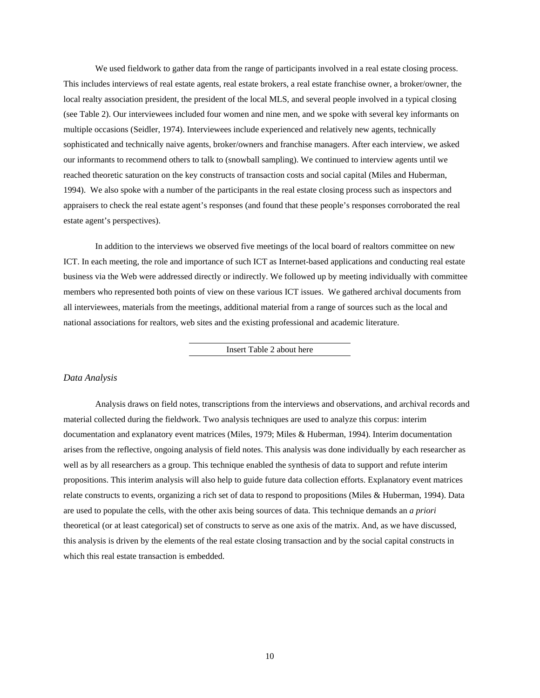We used fieldwork to gather data from the range of participants involved in a real estate closing process. This includes interviews of real estate agents, real estate brokers, a real estate franchise owner, a broker/owner, the local realty association president, the president of the local MLS, and several people involved in a typical closing (see Table 2). Our interviewees included four women and nine men, and we spoke with several key informants on multiple occasions (Seidler, 1974). Interviewees include experienced and relatively new agents, technically sophisticated and technically naive agents, broker/owners and franchise managers. After each interview, we asked our informants to recommend others to talk to (snowball sampling). We continued to interview agents until we reached theoretic saturation on the key constructs of transaction costs and social capital (Miles and Huberman, 1994). We also spoke with a number of the participants in the real estate closing process such as inspectors and appraisers to check the real estate agent's responses (and found that these people's responses corroborated the real estate agent's perspectives).

In addition to the interviews we observed five meetings of the local board of realtors committee on new ICT. In each meeting, the role and importance of such ICT as Internet-based applications and conducting real estate business via the Web were addressed directly or indirectly. We followed up by meeting individually with committee members who represented both points of view on these various ICT issues. We gathered archival documents from all interviewees, materials from the meetings, additional material from a range of sources such as the local and national associations for realtors, web sites and the existing professional and academic literature.

Insert Table 2 about here

#### *Data Analysis*

Analysis draws on field notes, transcriptions from the interviews and observations, and archival records and material collected during the fieldwork. Two analysis techniques are used to analyze this corpus: interim documentation and explanatory event matrices (Miles, 1979; Miles & Huberman, 1994). Interim documentation arises from the reflective, ongoing analysis of field notes. This analysis was done individually by each researcher as well as by all researchers as a group. This technique enabled the synthesis of data to support and refute interim propositions. This interim analysis will also help to guide future data collection efforts. Explanatory event matrices relate constructs to events, organizing a rich set of data to respond to propositions (Miles & Huberman, 1994). Data are used to populate the cells, with the other axis being sources of data. This technique demands an *a priori* theoretical (or at least categorical) set of constructs to serve as one axis of the matrix. And, as we have discussed, this analysis is driven by the elements of the real estate closing transaction and by the social capital constructs in which this real estate transaction is embedded.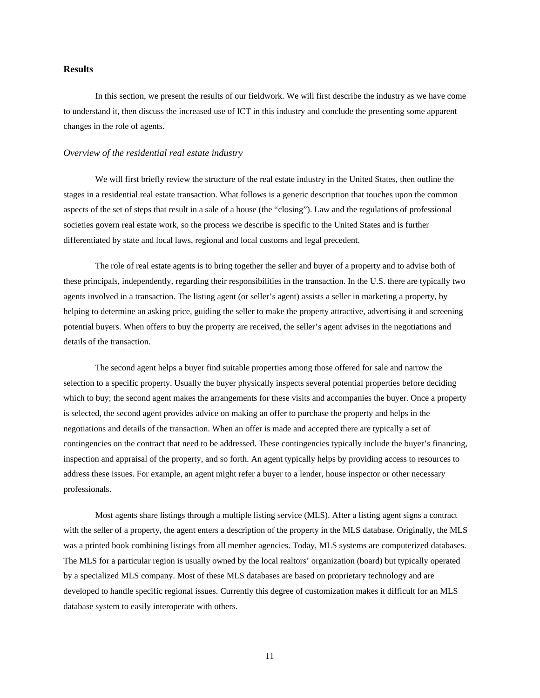#### **Results**

In this section, we present the results of our fieldwork. We will first describe the industry as we have come to understand it, then discuss the increased use of ICT in this industry and conclude the presenting some apparent changes in the role of agents.

#### *Overview of the residential real estate industry*

We will first briefly review the structure of the real estate industry in the United States, then outline the stages in a residential real estate transaction. What follows is a generic description that touches upon the common aspects of the set of steps that result in a sale of a house (the "closing"). Law and the regulations of professional societies govern real estate work, so the process we describe is specific to the United States and is further differentiated by state and local laws, regional and local customs and legal precedent.

The role of real estate agents is to bring together the seller and buyer of a property and to advise both of these principals, independently, regarding their responsibilities in the transaction. In the U.S. there are typically two agents involved in a transaction. The listing agent (or seller's agent) assists a seller in marketing a property, by helping to determine an asking price, guiding the seller to make the property attractive, advertising it and screening potential buyers. When offers to buy the property are received, the seller's agent advises in the negotiations and details of the transaction.

The second agent helps a buyer find suitable properties among those offered for sale and narrow the selection to a specific property. Usually the buyer physically inspects several potential properties before deciding which to buy; the second agent makes the arrangements for these visits and accompanies the buyer. Once a property is selected, the second agent provides advice on making an offer to purchase the property and helps in the negotiations and details of the transaction. When an offer is made and accepted there are typically a set of contingencies on the contract that need to be addressed. These contingencies typically include the buyer's financing, inspection and appraisal of the property, and so forth. An agent typically helps by providing access to resources to address these issues. For example, an agent might refer a buyer to a lender, house inspector or other necessary professionals.

Most agents share listings through a multiple listing service (MLS). After a listing agent signs a contract with the seller of a property, the agent enters a description of the property in the MLS database. Originally, the MLS was a printed book combining listings from all member agencies. Today, MLS systems are computerized databases. The MLS for a particular region is usually owned by the local realtors' organization (board) but typically operated by a specialized MLS company. Most of these MLS databases are based on proprietary technology and are developed to handle specific regional issues. Currently this degree of customization makes it difficult for an MLS database system to easily interoperate with others.

11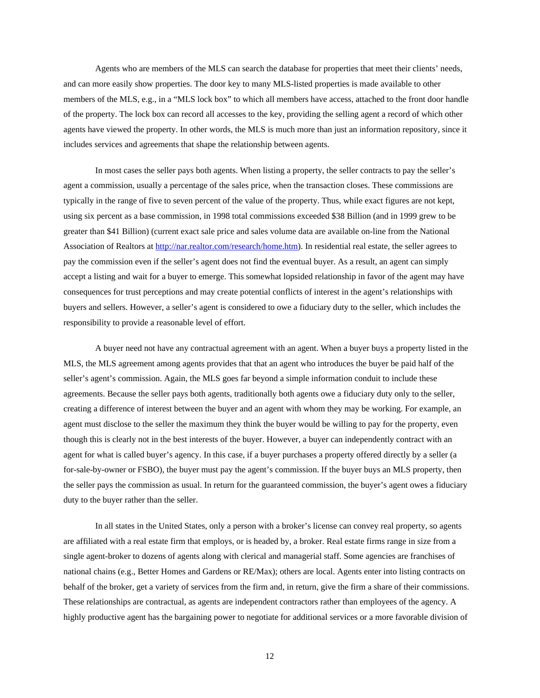Agents who are members of the MLS can search the database for properties that meet their clients' needs, and can more easily show properties. The door key to many MLS-listed properties is made available to other members of the MLS, e.g., in a "MLS lock box" to which all members have access, attached to the front door handle of the property. The lock box can record all accesses to the key, providing the selling agent a record of which other agents have viewed the property. In other words, the MLS is much more than just an information repository, since it includes services and agreements that shape the relationship between agents.

In most cases the seller pays both agents. When listing a property, the seller contracts to pay the seller's agent a commission, usually a percentage of the sales price, when the transaction closes. These commissions are typically in the range of five to seven percent of the value of the property. Thus, while exact figures are not kept, using six percent as a base commission, in 1998 total commissions exceeded \$38 Billion (and in 1999 grew to be greater than \$41 Billion) (current exact sale price and sales volume data are available on-line from the National Association of Realtors at [http://nar.realtor.com/research/home.htm\)](http://nar.realtor.com/research/home.htm). In residential real estate, the seller agrees to pay the commission even if the seller's agent does not find the eventual buyer. As a result, an agent can simply accept a listing and wait for a buyer to emerge. This somewhat lopsided relationship in favor of the agent may have consequences for trust perceptions and may create potential conflicts of interest in the agent's relationships with buyers and sellers. However, a seller's agent is considered to owe a fiduciary duty to the seller, which includes the responsibility to provide a reasonable level of effort.

A buyer need not have any contractual agreement with an agent. When a buyer buys a property listed in the MLS, the MLS agreement among agents provides that that an agent who introduces the buyer be paid half of the seller's agent's commission. Again, the MLS goes far beyond a simple information conduit to include these agreements. Because the seller pays both agents, traditionally both agents owe a fiduciary duty only to the seller, creating a difference of interest between the buyer and an agent with whom they may be working. For example, an agent must disclose to the seller the maximum they think the buyer would be willing to pay for the property, even though this is clearly not in the best interests of the buyer. However, a buyer can independently contract with an agent for what is called buyer's agency. In this case, if a buyer purchases a property offered directly by a seller (a for-sale-by-owner or FSBO), the buyer must pay the agent's commission. If the buyer buys an MLS property, then the seller pays the commission as usual. In return for the guaranteed commission, the buyer's agent owes a fiduciary duty to the buyer rather than the seller.

In all states in the United States, only a person with a broker's license can convey real property, so agents are affiliated with a real estate firm that employs, or is headed by, a broker. Real estate firms range in size from a single agent-broker to dozens of agents along with clerical and managerial staff. Some agencies are franchises of national chains (e.g., Better Homes and Gardens or RE/Max); others are local. Agents enter into listing contracts on behalf of the broker, get a variety of services from the firm and, in return, give the firm a share of their commissions. These relationships are contractual, as agents are independent contractors rather than employees of the agency. A highly productive agent has the bargaining power to negotiate for additional services or a more favorable division of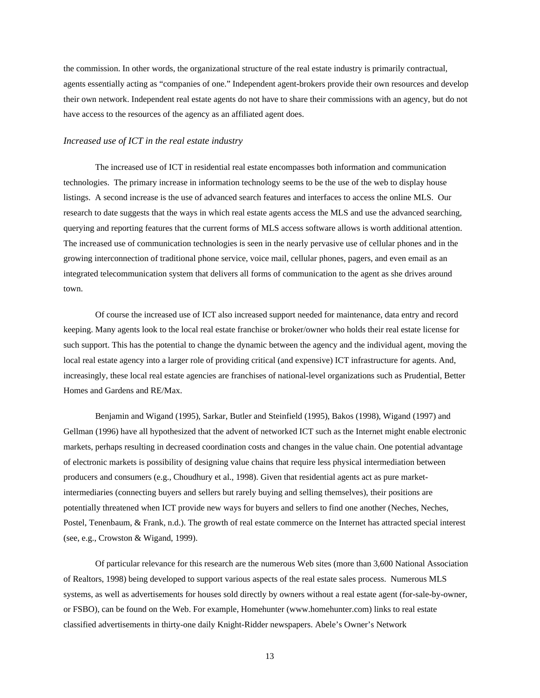the commission. In other words, the organizational structure of the real estate industry is primarily contractual, agents essentially acting as "companies of one." Independent agent-brokers provide their own resources and develop their own network. Independent real estate agents do not have to share their commissions with an agency, but do not have access to the resources of the agency as an affiliated agent does.

#### *Increased use of ICT in the real estate industry*

The increased use of ICT in residential real estate encompasses both information and communication technologies. The primary increase in information technology seems to be the use of the web to display house listings. A second increase is the use of advanced search features and interfaces to access the online MLS. Our research to date suggests that the ways in which real estate agents access the MLS and use the advanced searching, querying and reporting features that the current forms of MLS access software allows is worth additional attention. The increased use of communication technologies is seen in the nearly pervasive use of cellular phones and in the growing interconnection of traditional phone service, voice mail, cellular phones, pagers, and even email as an integrated telecommunication system that delivers all forms of communication to the agent as she drives around town.

Of course the increased use of ICT also increased support needed for maintenance, data entry and record keeping. Many agents look to the local real estate franchise or broker/owner who holds their real estate license for such support. This has the potential to change the dynamic between the agency and the individual agent, moving the local real estate agency into a larger role of providing critical (and expensive) ICT infrastructure for agents. And, increasingly, these local real estate agencies are franchises of national-level organizations such as Prudential, Better Homes and Gardens and RE/Max.

Benjamin and Wigand (1995), Sarkar, Butler and Steinfield (1995), Bakos (1998), Wigand (1997) and Gellman (1996) have all hypothesized that the advent of networked ICT such as the Internet might enable electronic markets, perhaps resulting in decreased coordination costs and changes in the value chain. One potential advantage of electronic markets is possibility of designing value chains that require less physical intermediation between producers and consumers (e.g., Choudhury et al., 1998). Given that residential agents act as pure marketintermediaries (connecting buyers and sellers but rarely buying and selling themselves), their positions are potentially threatened when ICT provide new ways for buyers and sellers to find one another (Neches, Neches, Postel, Tenenbaum, & Frank, n.d.). The growth of real estate commerce on the Internet has attracted special interest (see, e.g., Crowston & Wigand, 1999).

Of particular relevance for this research are the numerous Web sites (more than 3,600 National Association of Realtors, 1998) being developed to support various aspects of the real estate sales process. Numerous MLS systems, as well as advertisements for houses sold directly by owners without a real estate agent (for-sale-by-owner, or FSBO), can be found on the Web. For example, Homehunter (www.homehunter.com) links to real estate classified advertisements in thirty-one daily Knight-Ridder newspapers. Abele's Owner's Network

13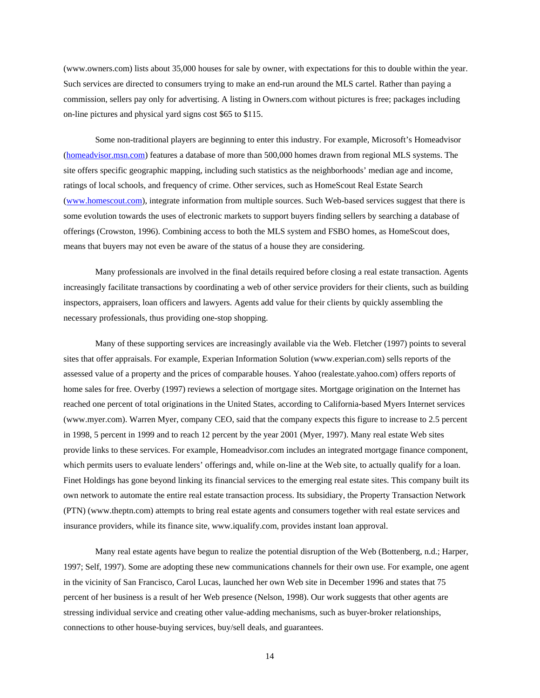(www.owners.com) lists about 35,000 houses for sale by owner, with expectations for this to double within the year. Such services are directed to consumers trying to make an end-run around the MLS cartel. Rather than paying a commission, sellers pay only for advertising. A listing in Owners.com without pictures is free; packages including on-line pictures and physical yard signs cost \$65 to \$115.

Some non-traditional players are beginning to enter this industry. For example, Microsoft's Homeadvisor (homeadvisor.msn.com) features a database of more than 500,000 homes drawn from regional MLS systems. The site offers specific geographic mapping, including such statistics as the neighborhoods' median age and income, ratings of local schools, and frequency of crime. Other services, such as HomeScout Real Estate Search (www.homescout.com), integrate information from multiple sources. Such Web-based services suggest that there is some evolution towards the uses of electronic markets to support buyers finding sellers by searching a database of offerings (Crowston, 1996). Combining access to both the MLS system and FSBO homes, as HomeScout does, means that buyers may not even be aware of the status of a house they are considering.

Many professionals are involved in the final details required before closing a real estate transaction. Agents increasingly facilitate transactions by coordinating a web of other service providers for their clients, such as building inspectors, appraisers, loan officers and lawyers. Agents add value for their clients by quickly assembling the necessary professionals, thus providing one-stop shopping.

Many of these supporting services are increasingly available via the Web. Fletcher (1997) points to several sites that offer appraisals. For example, Experian Information Solution (www.experian.com) sells reports of the assessed value of a property and the prices of comparable houses. Yahoo (realestate.yahoo.com) offers reports of home sales for free. Overby (1997) reviews a selection of mortgage sites. Mortgage origination on the Internet has reached one percent of total originations in the United States, according to California-based Myers Internet services (www.myer.com). Warren Myer, company CEO, said that the company expects this figure to increase to 2.5 percent in 1998, 5 percent in 1999 and to reach 12 percent by the year 2001 (Myer, 1997). Many real estate Web sites provide links to these services. For example, Homeadvisor.com includes an integrated mortgage finance component, which permits users to evaluate lenders' offerings and, while on-line at the Web site, to actually qualify for a loan. Finet Holdings has gone beyond linking its financial services to the emerging real estate sites. This company built its own network to automate the entire real estate transaction process. Its subsidiary, the Property Transaction Network (PTN) (www.theptn.com) attempts to bring real estate agents and consumers together with real estate services and insurance providers, while its finance site, www.iqualify.com, provides instant loan approval.

Many real estate agents have begun to realize the potential disruption of the Web (Bottenberg, n.d.; Harper, 1997; Self, 1997). Some are adopting these new communications channels for their own use. For example, one agent in the vicinity of San Francisco, Carol Lucas, launched her own Web site in December 1996 and states that 75 percent of her business is a result of her Web presence (Nelson, 1998). Our work suggests that other agents are stressing individual service and creating other value-adding mechanisms, such as buyer-broker relationships, connections to other house-buying services, buy/sell deals, and guarantees.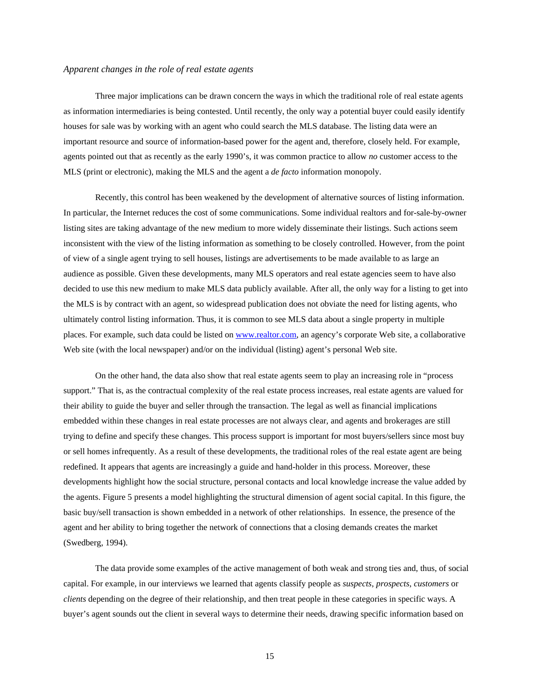#### *Apparent changes in the role of real estate agents*

Three major implications can be drawn concern the ways in which the traditional role of real estate agents as information intermediaries is being contested. Until recently, the only way a potential buyer could easily identify houses for sale was by working with an agent who could search the MLS database. The listing data were an important resource and source of information-based power for the agent and, therefore, closely held. For example, agents pointed out that as recently as the early 1990's, it was common practice to allow *no* customer access to the MLS (print or electronic), making the MLS and the agent a *de facto* information monopoly.

Recently, this control has been weakened by the development of alternative sources of listing information. In particular, the Internet reduces the cost of some communications. Some individual realtors and for-sale-by-owner listing sites are taking advantage of the new medium to more widely disseminate their listings. Such actions seem inconsistent with the view of the listing information as something to be closely controlled. However, from the point of view of a single agent trying to sell houses, listings are advertisements to be made available to as large an audience as possible. Given these developments, many MLS operators and real estate agencies seem to have also decided to use this new medium to make MLS data publicly available. After all, the only way for a listing to get into the MLS is by contract with an agent, so widespread publication does not obviate the need for listing agents, who ultimately control listing information. Thus, it is common to see MLS data about a single property in multiple places. For example, such data could be listed on www.realtor.com, an agency's corporate Web site, a collaborative Web site (with the local newspaper) and/or on the individual (listing) agent's personal Web site.

On the other hand, the data also show that real estate agents seem to play an increasing role in "process support." That is, as the contractual complexity of the real estate process increases, real estate agents are valued for their ability to guide the buyer and seller through the transaction. The legal as well as financial implications embedded within these changes in real estate processes are not always clear, and agents and brokerages are still trying to define and specify these changes. This process support is important for most buyers/sellers since most buy or sell homes infrequently. As a result of these developments, the traditional roles of the real estate agent are being redefined. It appears that agents are increasingly a guide and hand-holder in this process. Moreover, these developments highlight how the social structure, personal contacts and local knowledge increase the value added by the agents. Figure 5 presents a model highlighting the structural dimension of agent social capital. In this figure, the basic buy/sell transaction is shown embedded in a network of other relationships. In essence, the presence of the agent and her ability to bring together the network of connections that a closing demands creates the market (Swedberg, 1994).

The data provide some examples of the active management of both weak and strong ties and, thus, of social capital. For example, in our interviews we learned that agents classify people as *suspects*, *prospects*, *customers* or *clients* depending on the degree of their relationship, and then treat people in these categories in specific ways. A buyer's agent sounds out the client in several ways to determine their needs, drawing specific information based on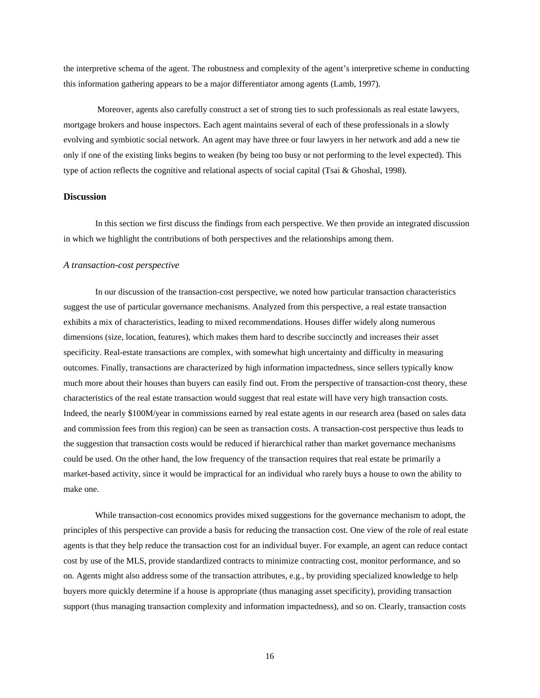the interpretive schema of the agent. The robustness and complexity of the agent's interpretive scheme in conducting this information gathering appears to be a major differentiator among agents (Lamb, 1997).

 Moreover, agents also carefully construct a set of strong ties to such professionals as real estate lawyers, mortgage brokers and house inspectors. Each agent maintains several of each of these professionals in a slowly evolving and symbiotic social network. An agent may have three or four lawyers in her network and add a new tie only if one of the existing links begins to weaken (by being too busy or not performing to the level expected). This type of action reflects the cognitive and relational aspects of social capital (Tsai & Ghoshal, 1998).

#### **Discussion**

In this section we first discuss the findings from each perspective. We then provide an integrated discussion in which we highlight the contributions of both perspectives and the relationships among them.

#### *A transaction-cost perspective*

In our discussion of the transaction-cost perspective, we noted how particular transaction characteristics suggest the use of particular governance mechanisms. Analyzed from this perspective, a real estate transaction exhibits a mix of characteristics, leading to mixed recommendations. Houses differ widely along numerous dimensions (size, location, features), which makes them hard to describe succinctly and increases their asset specificity. Real-estate transactions are complex, with somewhat high uncertainty and difficulty in measuring outcomes. Finally, transactions are characterized by high information impactedness, since sellers typically know much more about their houses than buyers can easily find out. From the perspective of transaction-cost theory, these characteristics of the real estate transaction would suggest that real estate will have very high transaction costs. Indeed, the nearly \$100M/year in commissions earned by real estate agents in our research area (based on sales data and commission fees from this region) can be seen as transaction costs. A transaction-cost perspective thus leads to the suggestion that transaction costs would be reduced if hierarchical rather than market governance mechanisms could be used. On the other hand, the low frequency of the transaction requires that real estate be primarily a market-based activity, since it would be impractical for an individual who rarely buys a house to own the ability to make one.

While transaction-cost economics provides mixed suggestions for the governance mechanism to adopt, the principles of this perspective can provide a basis for reducing the transaction cost. One view of the role of real estate agents is that they help reduce the transaction cost for an individual buyer. For example, an agent can reduce contact cost by use of the MLS, provide standardized contracts to minimize contracting cost, monitor performance, and so on. Agents might also address some of the transaction attributes, e.g., by providing specialized knowledge to help buyers more quickly determine if a house is appropriate (thus managing asset specificity), providing transaction support (thus managing transaction complexity and information impactedness), and so on. Clearly, transaction costs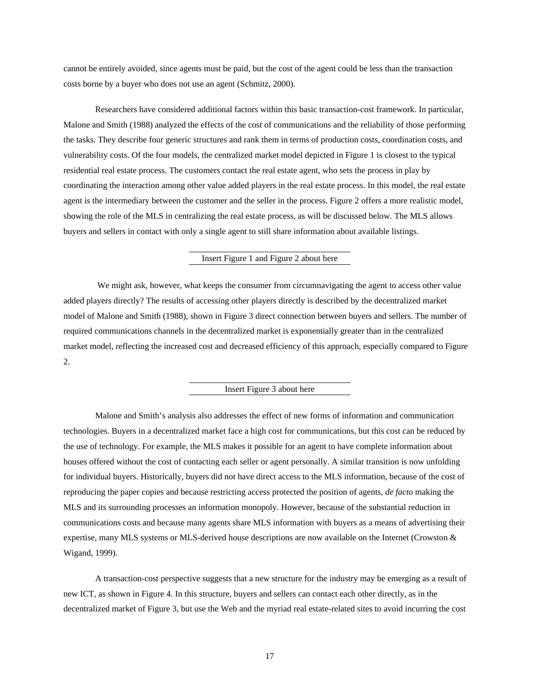cannot be entirely avoided, since agents must be paid, but the cost of the agent could be less than the transaction costs borne by a buyer who does not use an agent (Schmitz, 2000).

Researchers have considered additional factors within this basic transaction-cost framework. In particular, Malone and Smith (1988) analyzed the effects of the cost of communications and the reliability of those performing the tasks. They describe four generic structures and rank them in terms of production costs, coordination costs, and vulnerability costs. Of the four models, the centralized market model depicted in Figure 1 is closest to the typical residential real estate process. The customers contact the real estate agent, who sets the process in play by coordinating the interaction among other value added players in the real estate process. In this model, the real estate agent is the intermediary between the customer and the seller in the process. Figure 2 offers a more realistic model, showing the role of the MLS in centralizing the real estate process, as will be discussed below. The MLS allows buyers and sellers in contact with only a single agent to still share information about available listings.

#### Insert Figure 1 and Figure 2 about here

 We might ask, however, what keeps the consumer from circumnavigating the agent to access other value added players directly? The results of accessing other players directly is described by the decentralized market model of Malone and Smith (1988), shown in Figure 3 direct connection between buyers and sellers. The number of required communications channels in the decentralized market is exponentially greater than in the centralized market model, reflecting the increased cost and decreased efficiency of this approach, especially compared to Figure 2.

#### Insert Figure 3 about here

Malone and Smith's analysis also addresses the effect of new forms of information and communication technologies. Buyers in a decentralized market face a high cost for communications, but this cost can be reduced by the use of technology. For example, the MLS makes it possible for an agent to have complete information about houses offered without the cost of contacting each seller or agent personally. A similar transition is now unfolding for individual buyers. Historically, buyers did not have direct access to the MLS information, because of the cost of reproducing the paper copies and because restricting access protected the position of agents, *de facto* making the MLS and its surrounding processes an information monopoly. However, because of the substantial reduction in communications costs and because many agents share MLS information with buyers as a means of advertising their expertise, many MLS systems or MLS-derived house descriptions are now available on the Internet (Crowston & Wigand, 1999).

A transaction-cost perspective suggests that a new structure for the industry may be emerging as a result of new ICT, as shown in Figure 4. In this structure, buyers and sellers can contact each other directly, as in the decentralized market of Figure 3, but use the Web and the myriad real estate-related sites to avoid incurring the cost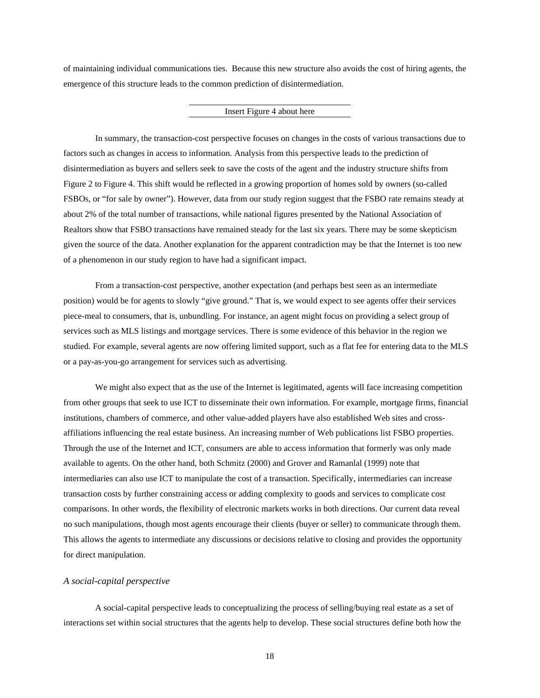of maintaining individual communications ties. Because this new structure also avoids the cost of hiring agents, the emergence of this structure leads to the common prediction of disintermediation.

#### Insert Figure 4 about here

In summary, the transaction-cost perspective focuses on changes in the costs of various transactions due to factors such as changes in access to information. Analysis from this perspective leads to the prediction of disintermediation as buyers and sellers seek to save the costs of the agent and the industry structure shifts from Figure 2 to Figure 4. This shift would be reflected in a growing proportion of homes sold by owners (so-called FSBOs, or "for sale by owner"). However, data from our study region suggest that the FSBO rate remains steady at about 2% of the total number of transactions, while national figures presented by the National Association of Realtors show that FSBO transactions have remained steady for the last six years. There may be some skepticism given the source of the data. Another explanation for the apparent contradiction may be that the Internet is too new of a phenomenon in our study region to have had a significant impact.

From a transaction-cost perspective, another expectation (and perhaps best seen as an intermediate position) would be for agents to slowly "give ground." That is, we would expect to see agents offer their services piece-meal to consumers, that is, unbundling. For instance, an agent might focus on providing a select group of services such as MLS listings and mortgage services. There is some evidence of this behavior in the region we studied. For example, several agents are now offering limited support, such as a flat fee for entering data to the MLS or a pay-as-you-go arrangement for services such as advertising.

We might also expect that as the use of the Internet is legitimated, agents will face increasing competition from other groups that seek to use ICT to disseminate their own information. For example, mortgage firms, financial institutions, chambers of commerce, and other value-added players have also established Web sites and crossaffiliations influencing the real estate business. An increasing number of Web publications list FSBO properties. Through the use of the Internet and ICT, consumers are able to access information that formerly was only made available to agents. On the other hand, both Schmitz (2000) and Grover and Ramanlal (1999) note that intermediaries can also use ICT to manipulate the cost of a transaction. Specifically, intermediaries can increase transaction costs by further constraining access or adding complexity to goods and services to complicate cost comparisons. In other words, the flexibility of electronic markets works in both directions. Our current data reveal no such manipulations, though most agents encourage their clients (buyer or seller) to communicate through them. This allows the agents to intermediate any discussions or decisions relative to closing and provides the opportunity for direct manipulation.

#### *A social-capital perspective*

A social-capital perspective leads to conceptualizing the process of selling/buying real estate as a set of interactions set within social structures that the agents help to develop. These social structures define both how the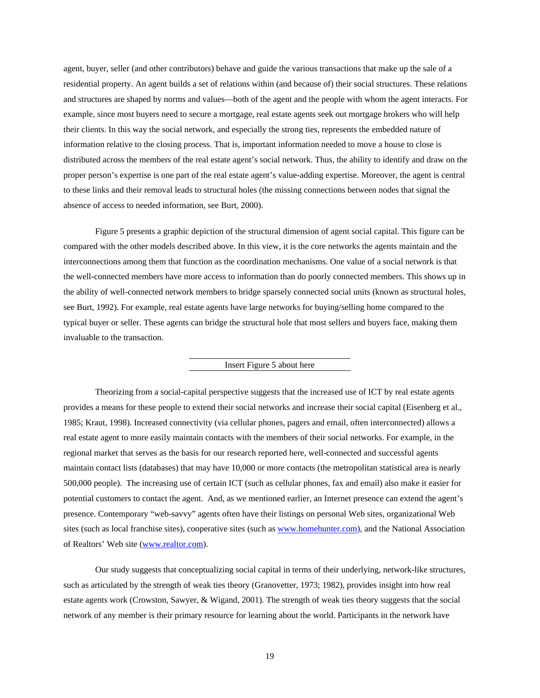agent, buyer, seller (and other contributors) behave and guide the various transactions that make up the sale of a residential property. An agent builds a set of relations within (and because of) their social structures. These relations and structures are shaped by norms and values—both of the agent and the people with whom the agent interacts. For example, since most buyers need to secure a mortgage, real estate agents seek out mortgage brokers who will help their clients. In this way the social network, and especially the strong ties, represents the embedded nature of information relative to the closing process. That is, important information needed to move a house to close is distributed across the members of the real estate agent's social network. Thus, the ability to identify and draw on the proper person's expertise is one part of the real estate agent's value-adding expertise. Moreover, the agent is central to these links and their removal leads to structural holes (the missing connections between nodes that signal the absence of access to needed information, see Burt, 2000).

Figure 5 presents a graphic depiction of the structural dimension of agent social capital. This figure can be compared with the other models described above. In this view, it is the core networks the agents maintain and the interconnections among them that function as the coordination mechanisms. One value of a social network is that the well-connected members have more access to information than do poorly connected members. This shows up in the ability of well-connected network members to bridge sparsely connected social units (known as structural holes, see Burt, 1992). For example, real estate agents have large networks for buying/selling home compared to the typical buyer or seller. These agents can bridge the structural hole that most sellers and buyers face, making them invaluable to the transaction.

#### Insert Figure 5 about here

Theorizing from a social-capital perspective suggests that the increased use of ICT by real estate agents provides a means for these people to extend their social networks and increase their social capital (Eisenberg et al., 1985; Kraut, 1998). Increased connectivity (via cellular phones, pagers and email, often interconnected) allows a real estate agent to more easily maintain contacts with the members of their social networks. For example, in the regional market that serves as the basis for our research reported here, well-connected and successful agents maintain contact lists (databases) that may have 10,000 or more contacts (the metropolitan statistical area is nearly 500,000 people). The increasing use of certain ICT (such as cellular phones, fax and email) also make it easier for potential customers to contact the agent. And, as we mentioned earlier, an Internet presence can extend the agent's presence. Contemporary "web-savvy" agents often have their listings on personal Web sites, organizational Web sites (such as local franchise sites), cooperative sites (such as www.homehunter.com), and the National Association of Realtors' Web site (www.realtor.com).

Our study suggests that conceptualizing social capital in terms of their underlying, network-like structures, such as articulated by the strength of weak ties theory (Granovetter, 1973; 1982), provides insight into how real estate agents work (Crowston, Sawyer, & Wigand, 2001). The strength of weak ties theory suggests that the social network of any member is their primary resource for learning about the world. Participants in the network have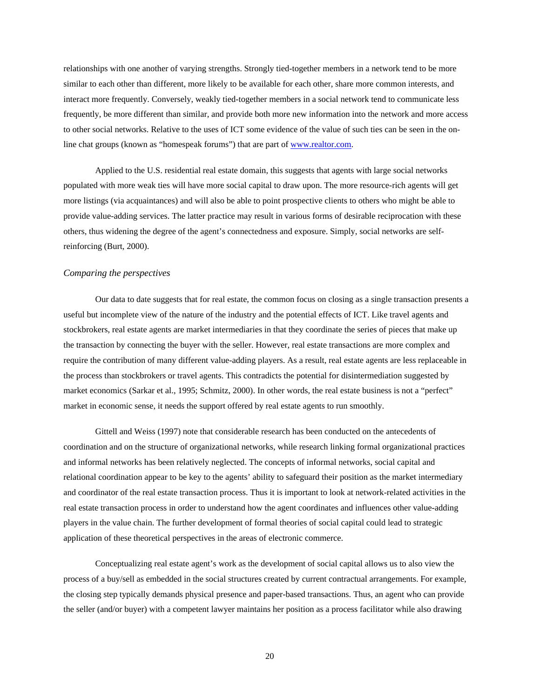relationships with one another of varying strengths. Strongly tied-together members in a network tend to be more similar to each other than different, more likely to be available for each other, share more common interests, and interact more frequently. Conversely, weakly tied-together members in a social network tend to communicate less frequently, be more different than similar, and provide both more new information into the network and more access to other social networks. Relative to the uses of ICT some evidence of the value of such ties can be seen in the online chat groups (known as "homespeak forums") that are part of www.realtor.com.

Applied to the U.S. residential real estate domain, this suggests that agents with large social networks populated with more weak ties will have more social capital to draw upon. The more resource-rich agents will get more listings (via acquaintances) and will also be able to point prospective clients to others who might be able to provide value-adding services. The latter practice may result in various forms of desirable reciprocation with these others, thus widening the degree of the agent's connectedness and exposure. Simply, social networks are selfreinforcing (Burt, 2000).

#### *Comparing the perspectives*

Our data to date suggests that for real estate, the common focus on closing as a single transaction presents a useful but incomplete view of the nature of the industry and the potential effects of ICT. Like travel agents and stockbrokers, real estate agents are market intermediaries in that they coordinate the series of pieces that make up the transaction by connecting the buyer with the seller. However, real estate transactions are more complex and require the contribution of many different value-adding players. As a result, real estate agents are less replaceable in the process than stockbrokers or travel agents. This contradicts the potential for disintermediation suggested by market economics (Sarkar et al., 1995; Schmitz, 2000). In other words, the real estate business is not a "perfect" market in economic sense, it needs the support offered by real estate agents to run smoothly.

Gittell and Weiss (1997) note that considerable research has been conducted on the antecedents of coordination and on the structure of organizational networks, while research linking formal organizational practices and informal networks has been relatively neglected. The concepts of informal networks, social capital and relational coordination appear to be key to the agents' ability to safeguard their position as the market intermediary and coordinator of the real estate transaction process. Thus it is important to look at network-related activities in the real estate transaction process in order to understand how the agent coordinates and influences other value-adding players in the value chain. The further development of formal theories of social capital could lead to strategic application of these theoretical perspectives in the areas of electronic commerce.

Conceptualizing real estate agent's work as the development of social capital allows us to also view the process of a buy/sell as embedded in the social structures created by current contractual arrangements. For example, the closing step typically demands physical presence and paper-based transactions. Thus, an agent who can provide the seller (and/or buyer) with a competent lawyer maintains her position as a process facilitator while also drawing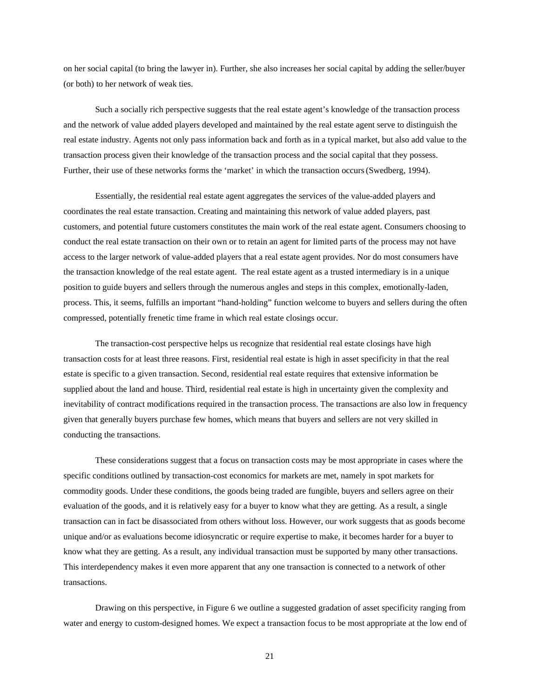on her social capital (to bring the lawyer in). Further, she also increases her social capital by adding the seller/buyer (or both) to her network of weak ties.

Such a socially rich perspective suggests that the real estate agent's knowledge of the transaction process and the network of value added players developed and maintained by the real estate agent serve to distinguish the real estate industry. Agents not only pass information back and forth as in a typical market, but also add value to the transaction process given their knowledge of the transaction process and the social capital that they possess. Further, their use of these networks forms the 'market' in which the transaction occurs (Swedberg, 1994).

Essentially, the residential real estate agent aggregates the services of the value-added players and coordinates the real estate transaction. Creating and maintaining this network of value added players, past customers, and potential future customers constitutes the main work of the real estate agent. Consumers choosing to conduct the real estate transaction on their own or to retain an agent for limited parts of the process may not have access to the larger network of value-added players that a real estate agent provides. Nor do most consumers have the transaction knowledge of the real estate agent. The real estate agent as a trusted intermediary is in a unique position to guide buyers and sellers through the numerous angles and steps in this complex, emotionally-laden, process. This, it seems, fulfills an important "hand-holding" function welcome to buyers and sellers during the often compressed, potentially frenetic time frame in which real estate closings occur.

The transaction-cost perspective helps us recognize that residential real estate closings have high transaction costs for at least three reasons. First, residential real estate is high in asset specificity in that the real estate is specific to a given transaction. Second, residential real estate requires that extensive information be supplied about the land and house. Third, residential real estate is high in uncertainty given the complexity and inevitability of contract modifications required in the transaction process. The transactions are also low in frequency given that generally buyers purchase few homes, which means that buyers and sellers are not very skilled in conducting the transactions.

These considerations suggest that a focus on transaction costs may be most appropriate in cases where the specific conditions outlined by transaction-cost economics for markets are met, namely in spot markets for commodity goods. Under these conditions, the goods being traded are fungible, buyers and sellers agree on their evaluation of the goods, and it is relatively easy for a buyer to know what they are getting. As a result, a single transaction can in fact be disassociated from others without loss. However, our work suggests that as goods become unique and/or as evaluations become idiosyncratic or require expertise to make, it becomes harder for a buyer to know what they are getting. As a result, any individual transaction must be supported by many other transactions. This interdependency makes it even more apparent that any one transaction is connected to a network of other transactions.

Drawing on this perspective, in Figure 6 we outline a suggested gradation of asset specificity ranging from water and energy to custom-designed homes. We expect a transaction focus to be most appropriate at the low end of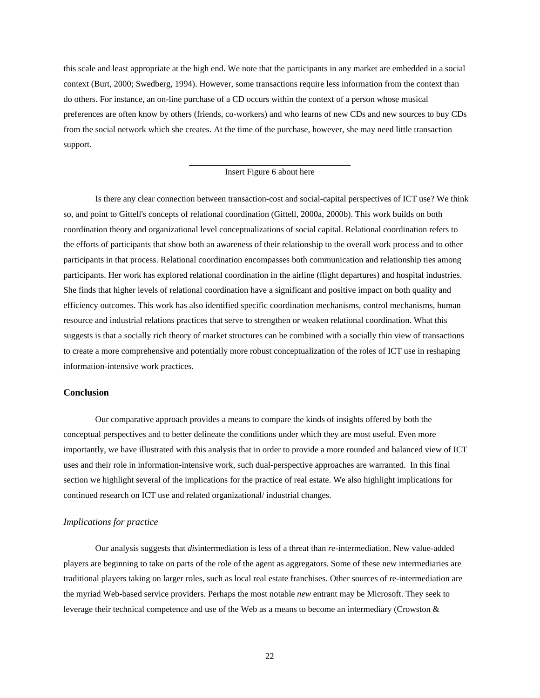this scale and least appropriate at the high end. We note that the participants in any market are embedded in a social context (Burt, 2000; Swedberg, 1994). However, some transactions require less information from the context than do others. For instance, an on-line purchase of a CD occurs within the context of a person whose musical preferences are often know by others (friends, co-workers) and who learns of new CDs and new sources to buy CDs from the social network which she creates. At the time of the purchase, however, she may need little transaction support.

#### Insert Figure 6 about here

Is there any clear connection between transaction-cost and social-capital perspectives of ICT use? We think so, and point to Gittell's concepts of relational coordination (Gittell, 2000a, 2000b). This work builds on both coordination theory and organizational level conceptualizations of social capital. Relational coordination refers to the efforts of participants that show both an awareness of their relationship to the overall work process and to other participants in that process. Relational coordination encompasses both communication and relationship ties among participants. Her work has explored relational coordination in the airline (flight departures) and hospital industries. She finds that higher levels of relational coordination have a significant and positive impact on both quality and efficiency outcomes. This work has also identified specific coordination mechanisms, control mechanisms, human resource and industrial relations practices that serve to strengthen or weaken relational coordination. What this suggests is that a socially rich theory of market structures can be combined with a socially thin view of transactions to create a more comprehensive and potentially more robust conceptualization of the roles of ICT use in reshaping information-intensive work practices.

#### **Conclusion**

Our comparative approach provides a means to compare the kinds of insights offered by both the conceptual perspectives and to better delineate the conditions under which they are most useful. Even more importantly, we have illustrated with this analysis that in order to provide a more rounded and balanced view of ICT uses and their role in information-intensive work, such dual-perspective approaches are warranted. In this final section we highlight several of the implications for the practice of real estate. We also highlight implications for continued research on ICT use and related organizational/ industrial changes.

#### *Implications for practice*

Our analysis suggests that *dis*intermediation is less of a threat than *re-*intermediation. New value-added players are beginning to take on parts of the role of the agent as aggregators. Some of these new intermediaries are traditional players taking on larger roles, such as local real estate franchises. Other sources of re-intermediation are the myriad Web-based service providers. Perhaps the most notable *new* entrant may be Microsoft. They seek to leverage their technical competence and use of the Web as a means to become an intermediary (Crowston &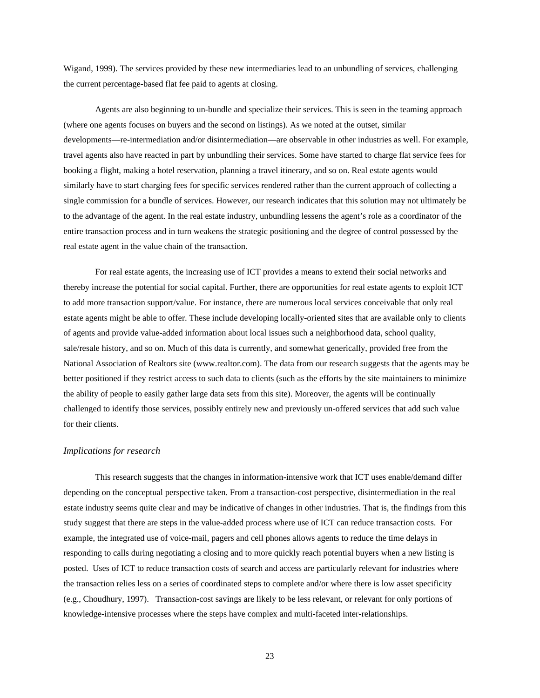Wigand, 1999). The services provided by these new intermediaries lead to an unbundling of services, challenging the current percentage-based flat fee paid to agents at closing.

Agents are also beginning to un-bundle and specialize their services. This is seen in the teaming approach (where one agents focuses on buyers and the second on listings). As we noted at the outset, similar developments—re-intermediation and/or disintermediation—are observable in other industries as well. For example, travel agents also have reacted in part by unbundling their services. Some have started to charge flat service fees for booking a flight, making a hotel reservation, planning a travel itinerary, and so on. Real estate agents would similarly have to start charging fees for specific services rendered rather than the current approach of collecting a single commission for a bundle of services. However, our research indicates that this solution may not ultimately be to the advantage of the agent. In the real estate industry, unbundling lessens the agent's role as a coordinator of the entire transaction process and in turn weakens the strategic positioning and the degree of control possessed by the real estate agent in the value chain of the transaction.

For real estate agents, the increasing use of ICT provides a means to extend their social networks and thereby increase the potential for social capital. Further, there are opportunities for real estate agents to exploit ICT to add more transaction support/value. For instance, there are numerous local services conceivable that only real estate agents might be able to offer. These include developing locally-oriented sites that are available only to clients of agents and provide value-added information about local issues such a neighborhood data, school quality, sale/resale history, and so on. Much of this data is currently, and somewhat generically, provided free from the National Association of Realtors site (www.realtor.com). The data from our research suggests that the agents may be better positioned if they restrict access to such data to clients (such as the efforts by the site maintainers to minimize the ability of people to easily gather large data sets from this site). Moreover, the agents will be continually challenged to identify those services, possibly entirely new and previously un-offered services that add such value for their clients.

#### *Implications for research*

This research suggests that the changes in information-intensive work that ICT uses enable/demand differ depending on the conceptual perspective taken. From a transaction-cost perspective, disintermediation in the real estate industry seems quite clear and may be indicative of changes in other industries. That is, the findings from this study suggest that there are steps in the value-added process where use of ICT can reduce transaction costs. For example, the integrated use of voice-mail, pagers and cell phones allows agents to reduce the time delays in responding to calls during negotiating a closing and to more quickly reach potential buyers when a new listing is posted. Uses of ICT to reduce transaction costs of search and access are particularly relevant for industries where the transaction relies less on a series of coordinated steps to complete and/or where there is low asset specificity (e.g., Choudhury, 1997). Transaction-cost savings are likely to be less relevant, or relevant for only portions of knowledge-intensive processes where the steps have complex and multi-faceted inter-relationships.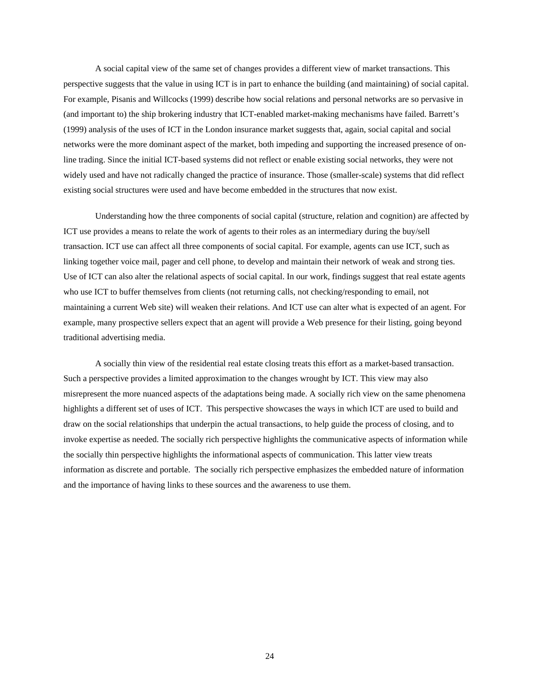A social capital view of the same set of changes provides a different view of market transactions. This perspective suggests that the value in using ICT is in part to enhance the building (and maintaining) of social capital. For example, Pisanis and Willcocks (1999) describe how social relations and personal networks are so pervasive in (and important to) the ship brokering industry that ICT-enabled market-making mechanisms have failed. Barrett's (1999) analysis of the uses of ICT in the London insurance market suggests that, again, social capital and social networks were the more dominant aspect of the market, both impeding and supporting the increased presence of online trading. Since the initial ICT-based systems did not reflect or enable existing social networks, they were not widely used and have not radically changed the practice of insurance. Those (smaller-scale) systems that did reflect existing social structures were used and have become embedded in the structures that now exist.

Understanding how the three components of social capital (structure, relation and cognition) are affected by ICT use provides a means to relate the work of agents to their roles as an intermediary during the buy/sell transaction. ICT use can affect all three components of social capital. For example, agents can use ICT, such as linking together voice mail, pager and cell phone, to develop and maintain their network of weak and strong ties. Use of ICT can also alter the relational aspects of social capital. In our work, findings suggest that real estate agents who use ICT to buffer themselves from clients (not returning calls, not checking/responding to email, not maintaining a current Web site) will weaken their relations. And ICT use can alter what is expected of an agent. For example, many prospective sellers expect that an agent will provide a Web presence for their listing, going beyond traditional advertising media.

A socially thin view of the residential real estate closing treats this effort as a market-based transaction. Such a perspective provides a limited approximation to the changes wrought by ICT. This view may also misrepresent the more nuanced aspects of the adaptations being made. A socially rich view on the same phenomena highlights a different set of uses of ICT. This perspective showcases the ways in which ICT are used to build and draw on the social relationships that underpin the actual transactions, to help guide the process of closing, and to invoke expertise as needed. The socially rich perspective highlights the communicative aspects of information while the socially thin perspective highlights the informational aspects of communication. This latter view treats information as discrete and portable. The socially rich perspective emphasizes the embedded nature of information and the importance of having links to these sources and the awareness to use them.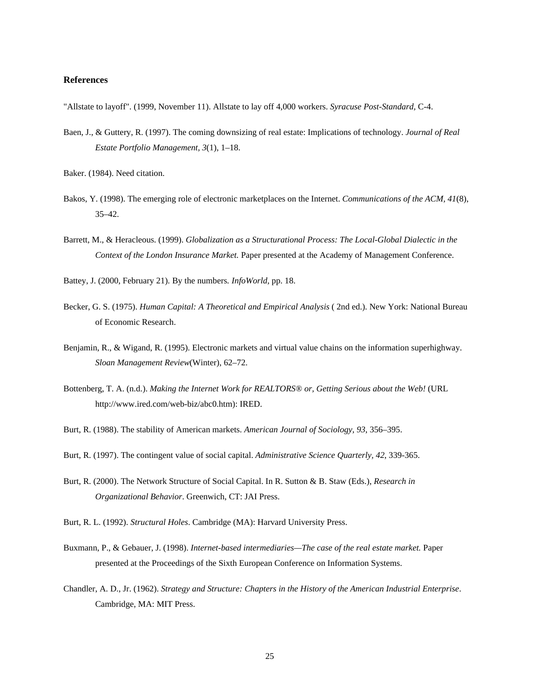#### **References**

"Allstate to layoff". (1999, November 11). Allstate to lay off 4,000 workers. *Syracuse Post-Standard,* C-4.

Baen, J., & Guttery, R. (1997). The coming downsizing of real estate: Implications of technology. *Journal of Real Estate Portfolio Management, 3*(1), 1–18.

Baker. (1984). Need citation.

- Bakos, Y. (1998). The emerging role of electronic marketplaces on the Internet. *Communications of the ACM, 41*(8), 35–42.
- Barrett, M., & Heracleous. (1999). *Globalization as a Structurational Process: The Local-Global Dialectic in the Context of the London Insurance Market.* Paper presented at the Academy of Management Conference.
- Battey, J. (2000, February 21). By the numbers*. InfoWorld,* pp. 18.
- Becker, G. S. (1975). *Human Capital: A Theoretical and Empirical Analysis* ( 2nd ed.). New York: National Bureau of Economic Research.
- Benjamin, R., & Wigand, R. (1995). Electronic markets and virtual value chains on the information superhighway. *Sloan Management Review*(Winter), 62–72.
- Bottenberg, T. A. (n.d.). *Making the Internet Work for REALTORS® or, Getting Serious about the Web!* (URL http://www.ired.com/web-biz/abc0.htm): IRED.
- Burt, R. (1988). The stability of American markets. *American Journal of Sociology, 93*, 356–395.
- Burt, R. (1997). The contingent value of social capital. *Administrative Science Quarterly, 42*, 339-365.
- Burt, R. (2000). The Network Structure of Social Capital. In R. Sutton & B. Staw (Eds.), *Research in Organizational Behavior*. Greenwich, CT: JAI Press.
- Burt, R. L. (1992). *Structural Holes*. Cambridge (MA): Harvard University Press.
- Buxmann, P., & Gebauer, J. (1998). *Internet-based intermediaries—The case of the real estate market.* Paper presented at the Proceedings of the Sixth European Conference on Information Systems.
- Chandler, A. D., Jr. (1962). *Strategy and Structure: Chapters in the History of the American Industrial Enterprise*. Cambridge, MA: MIT Press.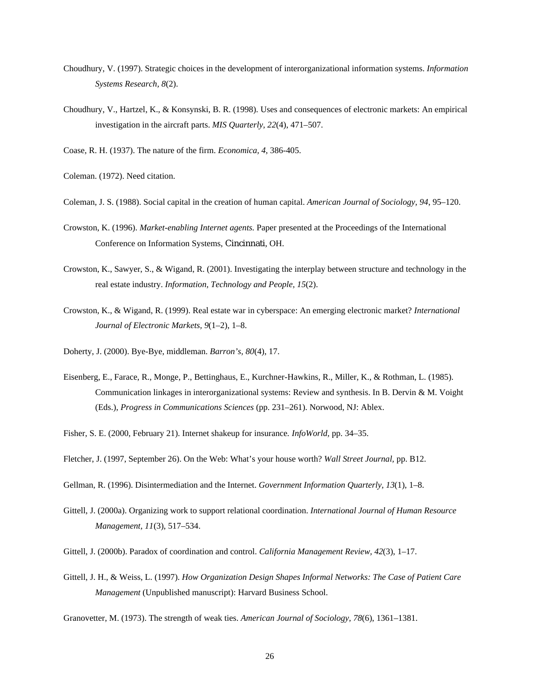- Choudhury, V. (1997). Strategic choices in the development of interorganizational information systems. *Information Systems Research, 8*(2).
- Choudhury, V., Hartzel, K., & Konsynski, B. R. (1998). Uses and consequences of electronic markets: An empirical investigation in the aircraft parts. *MIS Quarterly, 22*(4), 471–507.

Coase, R. H. (1937). The nature of the firm. *Economica, 4*, 386-405.

Coleman. (1972). Need citation.

- Coleman, J. S. (1988). Social capital in the creation of human capital. *American Journal of Sociology, 94*, 95–120.
- Crowston, K. (1996). *Market-enabling Internet agents.* Paper presented at the Proceedings of the International Conference on Information Systems, Cincinnati, OH.
- Crowston, K., Sawyer, S., & Wigand, R. (2001). Investigating the interplay between structure and technology in the real estate industry. *Information, Technology and People, 15*(2).
- Crowston, K., & Wigand, R. (1999). Real estate war in cyberspace: An emerging electronic market? *International Journal of Electronic Markets, 9*(1–2), 1–8.
- Doherty, J. (2000). Bye-Bye, middleman. *Barron's, 80*(4), 17.
- Eisenberg, E., Farace, R., Monge, P., Bettinghaus, E., Kurchner-Hawkins, R., Miller, K., & Rothman, L. (1985). Communication linkages in interorganizational systems: Review and synthesis. In B. Dervin & M. Voight (Eds.), *Progress in Communications Sciences* (pp. 231–261). Norwood, NJ: Ablex.
- Fisher, S. E. (2000, February 21). Internet shakeup for insurance*. InfoWorld,* pp. 34–35.
- Fletcher, J. (1997, September 26). On the Web: What's your house worth? *Wall Street Journal,* pp. B12.
- Gellman, R. (1996). Disintermediation and the Internet. *Government Information Quarterly, 13*(1), 1–8.
- Gittell, J. (2000a). Organizing work to support relational coordination. *International Journal of Human Resource Management, 11*(3), 517–534.
- Gittell, J. (2000b). Paradox of coordination and control. *California Management Review, 42*(3), 1–17.
- Gittell, J. H., & Weiss, L. (1997). *How Organization Design Shapes Informal Networks: The Case of Patient Care Management* (Unpublished manuscript): Harvard Business School.

Granovetter, M. (1973). The strength of weak ties. *American Journal of Sociology, 78*(6), 1361–1381.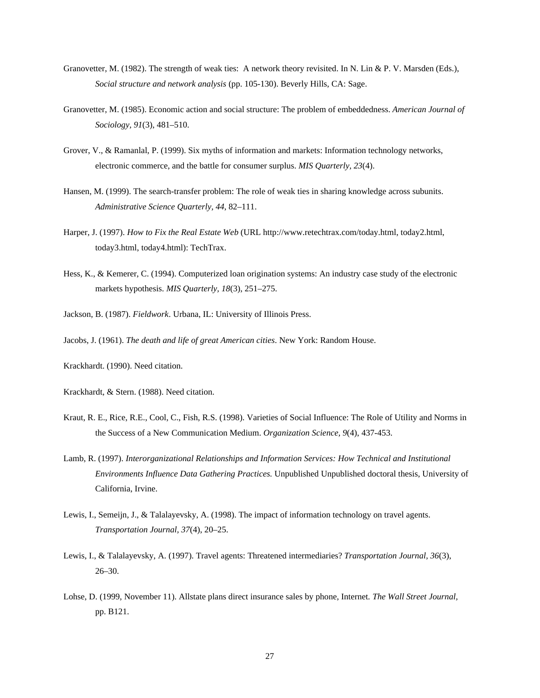- Granovetter, M. (1982). The strength of weak ties: A network theory revisited. In N. Lin & P. V. Marsden (Eds.), *Social structure and network analysis* (pp. 105-130). Beverly Hills, CA: Sage.
- Granovetter, M. (1985). Economic action and social structure: The problem of embeddedness. *American Journal of Sociology, 91*(3), 481–510.
- Grover, V., & Ramanlal, P. (1999). Six myths of information and markets: Information technology networks, electronic commerce, and the battle for consumer surplus. *MIS Quarterly, 23*(4).
- Hansen, M. (1999). The search-transfer problem: The role of weak ties in sharing knowledge across subunits. *Administrative Science Quarterly, 44*, 82–111.
- Harper, J. (1997). *How to Fix the Real Estate Web* (URL [http://www.retechtrax.com/today.html,](http://www.retechtrax.com/today.html) today2.html, today3.html, today4.html): TechTrax.
- Hess, K., & Kemerer, C. (1994). Computerized loan origination systems: An industry case study of the electronic markets hypothesis. *MIS Quarterly, 18*(3), 251–275.
- Jackson, B. (1987). *Fieldwork*. Urbana, IL: University of Illinois Press.
- Jacobs, J. (1961). *The death and life of great American cities*. New York: Random House.
- Krackhardt. (1990). Need citation.
- Krackhardt, & Stern. (1988). Need citation.
- Kraut, R. E., Rice, R.E., Cool, C., Fish, R.S. (1998). Varieties of Social Influence: The Role of Utility and Norms in the Success of a New Communication Medium. *Organization Science, 9*(4), 437-453.
- Lamb, R. (1997). *Interorganizational Relationships and Information Services: How Technical and Institutional Environments Influence Data Gathering Practices.* Unpublished Unpublished doctoral thesis, University of California, Irvine.
- Lewis, I., Semeijn, J., & Talalayevsky, A. (1998). The impact of information technology on travel agents. *Transportation Journal, 37*(4), 20–25.
- Lewis, I., & Talalayevsky, A. (1997). Travel agents: Threatened intermediaries? *Transportation Journal, 36*(3), 26–30.
- Lohse, D. (1999, November 11). Allstate plans direct insurance sales by phone, Internet*. The Wall Street Journal,* pp. B121.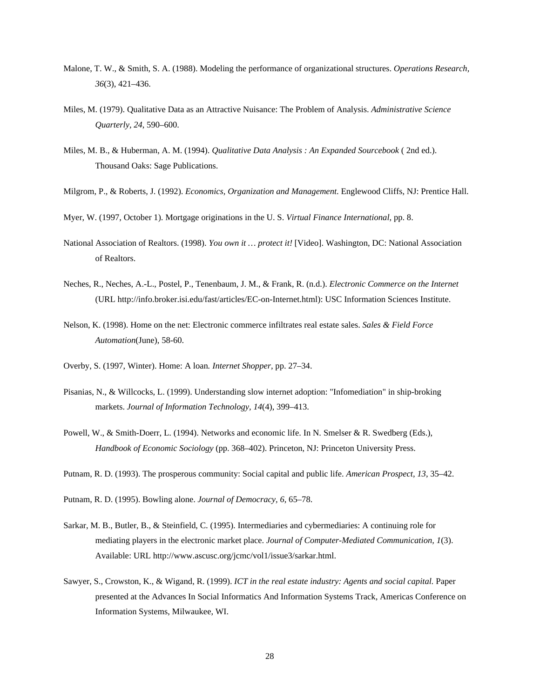- Malone, T. W., & Smith, S. A. (1988). Modeling the performance of organizational structures. *Operations Research, 36*(3), 421–436.
- Miles, M. (1979). Qualitative Data as an Attractive Nuisance: The Problem of Analysis. *Administrative Science Quarterly, 24*, 590–600.
- Miles, M. B., & Huberman, A. M. (1994). *Qualitative Data Analysis : An Expanded Sourcebook* ( 2nd ed.). Thousand Oaks: Sage Publications.
- Milgrom, P., & Roberts, J. (1992). *Economics, Organization and Management*. Englewood Cliffs, NJ: Prentice Hall.
- Myer, W. (1997, October 1). Mortgage originations in the U. S. *Virtual Finance International,* pp. 8.
- National Association of Realtors. (1998). *You own it … protect it!* [Video]. Washington, DC: National Association of Realtors.
- Neches, R., Neches, A.-L., Postel, P., Tenenbaum, J. M., & Frank, R. (n.d.). *Electronic Commerce on the Internet* (URL http://info.broker.isi.edu/fast/articles/EC-on-Internet.html): USC Information Sciences Institute.
- Nelson, K. (1998). Home on the net: Electronic commerce infiltrates real estate sales. *Sales & Field Force Automation*(June), 58-60.
- Overby, S. (1997, Winter). Home: A loan*. Internet Shopper,* pp. 27–34.
- Pisanias, N., & Willcocks, L. (1999). Understanding slow internet adoption: "Infomediation" in ship-broking markets. *Journal of Information Technology, 14*(4), 399–413.
- Powell, W., & Smith-Doerr, L. (1994). Networks and economic life. In N. Smelser & R. Swedberg (Eds.), *Handbook of Economic Sociology* (pp. 368–402). Princeton, NJ: Princeton University Press.
- Putnam, R. D. (1993). The prosperous community: Social capital and public life. *American Prospect, 13*, 35–42.
- Putnam, R. D. (1995). Bowling alone. *Journal of Democracy, 6*, 65–78.
- Sarkar, M. B., Butler, B., & Steinfield, C. (1995). Intermediaries and cybermediaries: A continuing role for mediating players in the electronic market place. *Journal of Computer-Mediated Communication, 1*(3). Available: URL [http://www.ascusc.org/jcmc/vol1/issue3/sarkar.html.](http://www.ascusc.org/jcmc/vol1/issue3/sarkar.html)
- Sawyer, S., Crowston, K., & Wigand, R. (1999). *ICT in the real estate industry: Agents and social capital.* Paper presented at the Advances In Social Informatics And Information Systems Track, Americas Conference on Information Systems, Milwaukee, WI.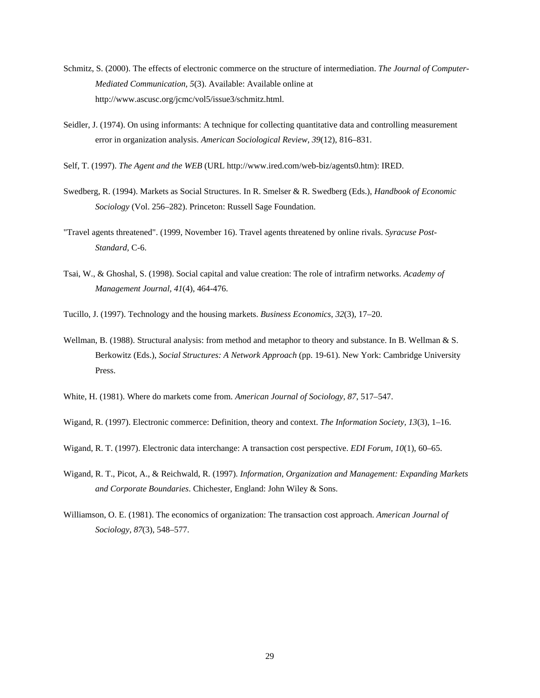- Schmitz, S. (2000). The effects of electronic commerce on the structure of intermediation. *The Journal of Computer-Mediated Communication, 5*(3). Available: Available online at [http://www.ascusc.org/jcmc/vol5/issue3/schmitz.html.](http://www.ascusc.org/jcmc/vol5/issue3/schmitz.html)
- Seidler, J. (1974). On using informants: A technique for collecting quantitative data and controlling measurement error in organization analysis. *American Sociological Review, 39*(12), 816–831.
- Self, T. (1997). *The Agent and the WEB* (URL http://www.ired.com/web-biz/agents0.htm): IRED.
- Swedberg, R. (1994). Markets as Social Structures. In R. Smelser & R. Swedberg (Eds.), *Handbook of Economic Sociology* (Vol. 256–282). Princeton: Russell Sage Foundation.
- "Travel agents threatened". (1999, November 16). Travel agents threatened by online rivals. *Syracuse Post-Standard,* C-6.
- Tsai, W., & Ghoshal, S. (1998). Social capital and value creation: The role of intrafirm networks. *Academy of Management Journal, 41*(4), 464-476.
- Tucillo, J. (1997). Technology and the housing markets. *Business Economics, 32*(3), 17–20.
- Wellman, B. (1988). Structural analysis: from method and metaphor to theory and substance. In B. Wellman & S. Berkowitz (Eds.), *Social Structures: A Network Approach* (pp. 19-61). New York: Cambridge University Press.
- White, H. (1981). Where do markets come from. *American Journal of Sociology, 87*, 517–547.
- Wigand, R. (1997). Electronic commerce: Definition, theory and context. *The Information Society, 13*(3), 1–16.
- Wigand, R. T. (1997). Electronic data interchange: A transaction cost perspective. *EDI Forum, 10*(1), 60–65.
- Wigand, R. T., Picot, A., & Reichwald, R. (1997). *Information, Organization and Management: Expanding Markets and Corporate Boundaries*. Chichester, England: John Wiley & Sons.
- Williamson, O. E. (1981). The economics of organization: The transaction cost approach. *American Journal of Sociology, 87*(3), 548–577.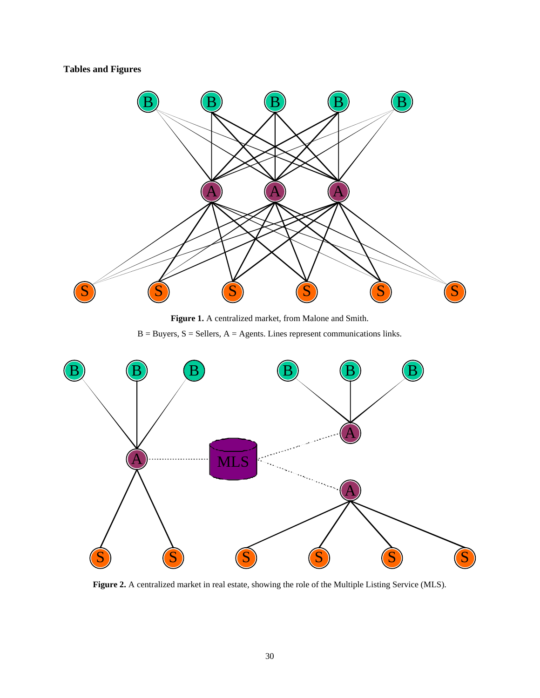### **Tables and Figures**



**Figure 1.** A centralized market, from Malone and Smith.

 $B = Buyers, S = Sellers, A = Agents. Lines represent communications links.$ 



**Figure 2.** A centralized market in real estate, showing the role of the Multiple Listing Service (MLS).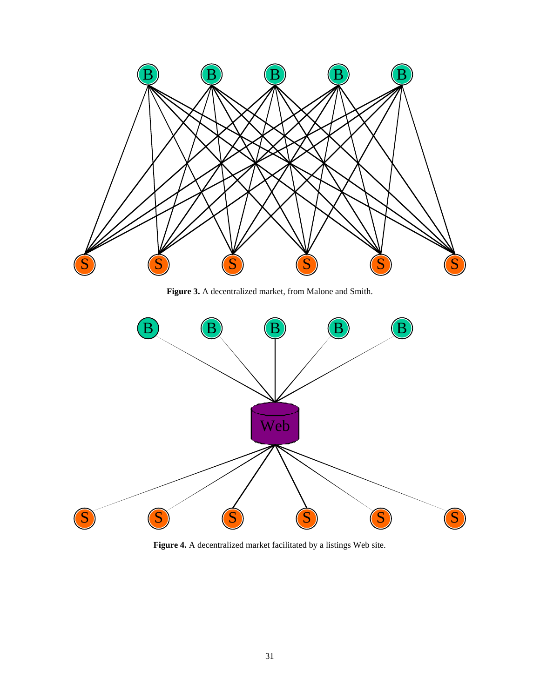

**Figure 3.** A decentralized market, from Malone and Smith.



**Figure 4.** A decentralized market facilitated by a listings Web site.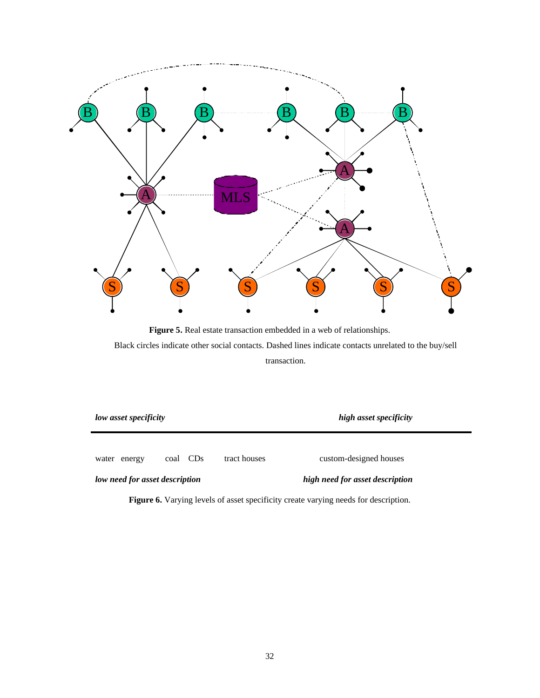

**Figure 5.** Real estate transaction embedded in a web of relationships. Black circles indicate other social contacts. Dashed lines indicate contacts unrelated to the buy/sell transaction.



Figure 6. Varying levels of asset specificity create varying needs for description.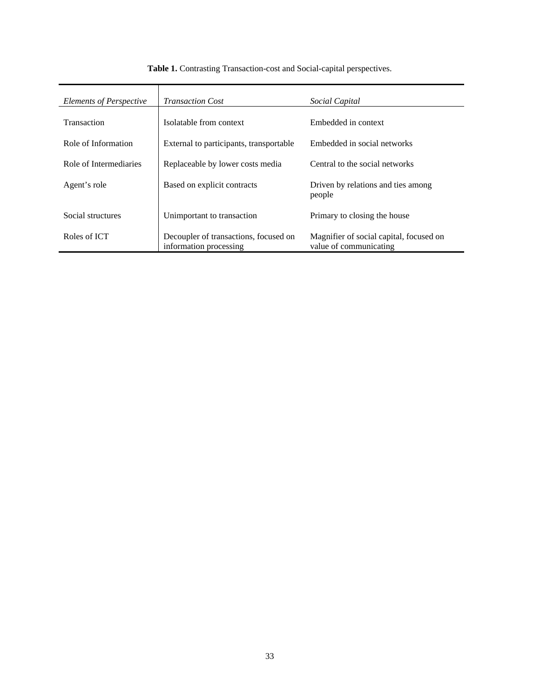| <b>Elements of Perspective</b> | <b>Transaction Cost</b>                                         | Social Capital                                                    |
|--------------------------------|-----------------------------------------------------------------|-------------------------------------------------------------------|
| Transaction                    | Isolatable from context                                         | Embedded in context                                               |
| Role of Information            | External to participants, transportable                         | Embedded in social networks                                       |
| Role of Intermediaries         | Replaceable by lower costs media                                | Central to the social networks                                    |
| Agent's role                   | Based on explicit contracts                                     | Driven by relations and ties among<br>people                      |
| Social structures              | Unimportant to transaction                                      | Primary to closing the house                                      |
| Roles of ICT                   | Decoupler of transactions, focused on<br>information processing | Magnifier of social capital, focused on<br>value of communicating |

**Table 1.** Contrasting Transaction-cost and Social-capital perspectives.